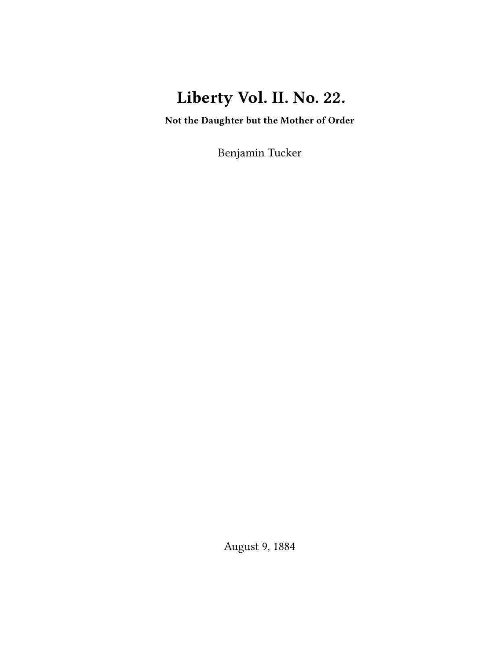# **Liberty Vol. II. No. 22.**

**Not the Daughter but the Mother of Order**

Benjamin Tucker

August 9, 1884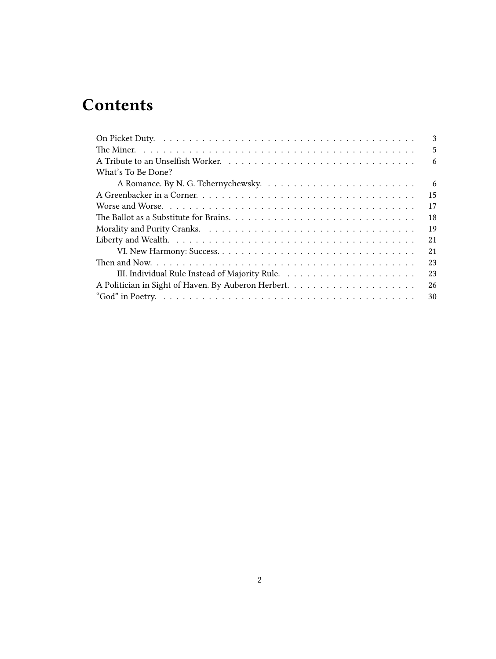# **Contents**

|                    | 3   |
|--------------------|-----|
|                    | 5   |
|                    | 6   |
| What's To Be Done? |     |
|                    | - 6 |
|                    | 15  |
|                    | 17  |
|                    | 18  |
|                    | 19  |
|                    | 21  |
|                    | 21  |
|                    | 23  |
|                    | 23  |
|                    | 26  |
|                    | 30  |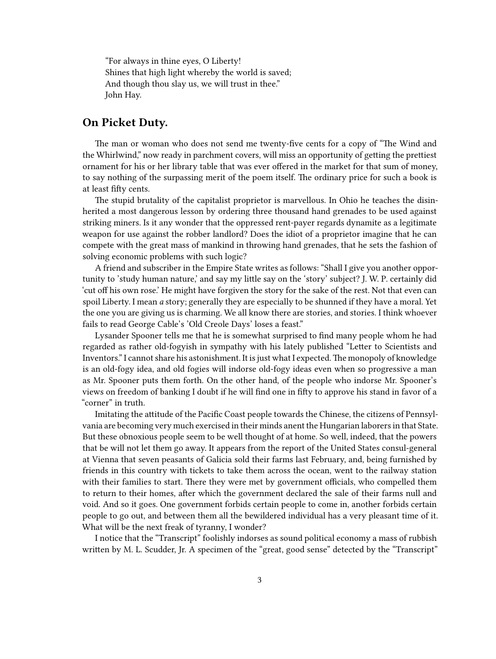"For always in thine eyes, O Liberty! Shines that high light whereby the world is saved; And though thou slay us, we will trust in thee." John Hay.

## <span id="page-2-0"></span>**On Picket Duty.**

The man or woman who does not send me twenty-five cents for a copy of "The Wind and the Whirlwind," now ready in parchment covers, will miss an opportunity of getting the prettiest ornament for his or her library table that was ever offered in the market for that sum of money, to say nothing of the surpassing merit of the poem itself. The ordinary price for such a book is at least fifty cents.

The stupid brutality of the capitalist proprietor is marvellous. In Ohio he teaches the disinherited a most dangerous lesson by ordering three thousand hand grenades to be used against striking miners. Is it any wonder that the oppressed rent-payer regards dynamite as a legitimate weapon for use against the robber landlord? Does the idiot of a proprietor imagine that he can compete with the great mass of mankind in throwing hand grenades, that he sets the fashion of solving economic problems with such logic?

A friend and subscriber in the Empire State writes as follows: "Shall I give you another opportunity to 'study human nature,' and say my little say on the 'story' subject? J. W. P. certainly did 'cut off his own rose.' He might have forgiven the story for the sake of the rest. Not that even can spoil Liberty. I mean *a* story; generally they are especially to be shunned if they have a moral. Yet the one you are giving us is charming. We all know there are stories, and stories. I think whoever fails to read George Cable's 'Old Creole Days' loses a feast."

Lysander Spooner tells me that he is somewhat surprised to find many people whom he had regarded as rather old-fogyish in sympathy with his lately published "Letter to Scientists and Inventors." I cannot share his astonishment. It is just what I expected. The monopoly of knowledge is an old-fogy idea, and old fogies will indorse old-fogy ideas even when so progressive a man as Mr. Spooner puts them forth. On the other hand, of the people who indorse Mr. Spooner's views on freedom of banking I doubt if he will find one in fifty to approve his stand in favor of a "corner" in truth.

Imitating the attitude of the Pacific Coast people towards the Chinese, the citizens of Pennsylvania are becoming very much exercised in their minds anent the Hungarian laborers in that State. But these obnoxious people seem to be well thought of at home. So well, indeed, that the powers that be will not let them go away. It appears from the report of the United States consul-general at Vienna that seven peasants of Galicia sold their farms last February, and, being furnished by friends in this country with tickets to take them across the ocean, went to the railway station with their families to start. There they were met by government officials, who compelled them to return to their homes, after which the government declared the sale of their farms null and void. And so it goes. One government forbids certain people to come in, another forbids certain people to go out, and between them all the bewildered individual has a very pleasant time of it. What will be the next freak of tyranny, I wonder?

I notice that the "Transcript" foolishly indorses as sound political economy a mass of rubbish written by M. L. Scudder, Jr. A specimen of the "great, good sense" detected by the "Transcript"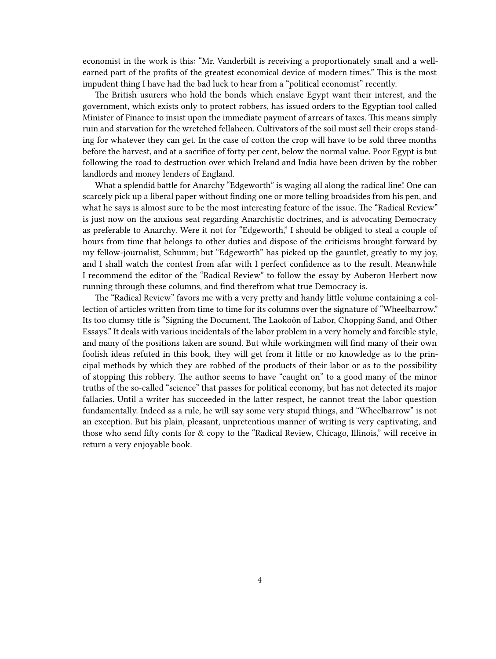economist in the work is this: "Mr. Vanderbilt is receiving a proportionately small and a wellearned part of the profits of the greatest economical device of modern times." This is the most impudent thing I have had the bad luck to hear from a "political economist" recently.

The British usurers who hold the bonds which enslave Egypt want their interest, and the government, which exists only to protect robbers, has issued orders to the Egyptian tool called Minister of Finance to insist upon the immediate payment of arrears of taxes. This means simply ruin and starvation for the wretched fellaheen. Cultivators of the soil must sell their crops standing for whatever they can get. In the case of cotton the crop will have to be sold three months before the harvest, and at a sacrifice of forty per cent, below the normal value. Poor Egypt is but following the road to destruction over which Ireland and India have been driven by the robber landlords and money lenders of England.

What a splendid battle for Anarchy "Edgeworth" is waging all along the radical line! One can scarcely pick up a liberal paper without finding one or more telling broadsides from his pen, and what he says is almost sure to be the most interesting feature of the issue. The "Radical Review" is just now on the anxious seat regarding Anarchistic doctrines, and is advocating Democracy as preferable to Anarchy. Were it not for "Edgeworth," I should be obliged to steal a couple of hours from time that belongs to other duties and dispose of the criticisms brought forward by my fellow-journalist, Schumm; but "Edgeworth" has picked up the gauntlet, greatly to my joy, and I shall watch the contest from afar with I perfect confidence as to the result. Meanwhile I recommend the editor of the "Radical Review" to follow the essay by Auberon Herbert now running through these columns, and find therefrom what true Democracy is.

The "Radical Review" favors me with a very pretty and handy little volume containing a collection of articles written from time to time for its columns over the signature of "Wheelbarrow." Its too clumsy title is "Signing the Document, The Laokoön of Labor, Chopping Sand, and Other Essays." It deals with various incidentals of the labor problem in a very homely and forcible style, and many of the positions taken are sound. But while workingmen will find many of their own foolish ideas refuted in this book, they will get from it little or no knowledge as to the principal methods by which they are robbed of the products of their labor or as to the possibility of stopping this robbery. The author seems to have "caught on" to a good many of the minor truths of the so-called "science" that passes for political economy, but has not detected its major fallacies. Until a writer has succeeded in the latter respect, he cannot treat the labor question fundamentally. Indeed as a rule, he will say some very stupid things, and "Wheelbarrow" is not an exception. But his plain, pleasant, unpretentious manner of writing is very captivating, and those who send fifty conts for & copy to the "Radical Review, Chicago, Illinois," will receive in return a very enjoyable book.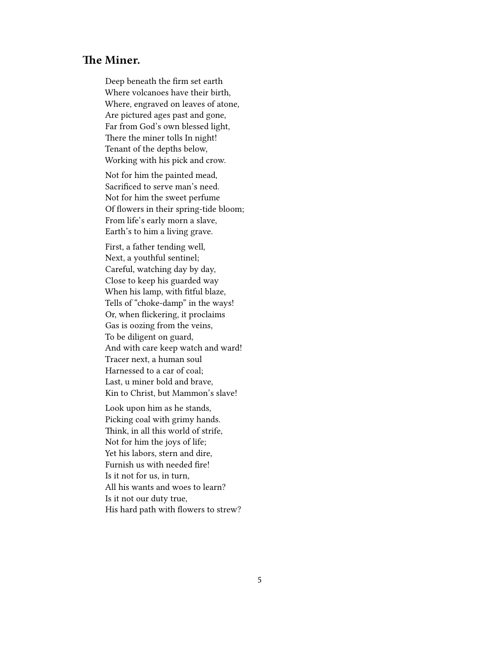# <span id="page-4-0"></span>**The Miner.**

Deep beneath the firm set earth Where volcanoes have their birth, Where, engraved on leaves of atone, Are pictured ages past and gone, Far from God's own blessed light, There the miner tolls In night! Tenant of the depths below, Working with his pick and crow.

Not for him the painted mead, Sacrificed to serve man's need. Not for him the sweet perfume Of flowers in their spring-tide bloom; From life's early morn a slave, Earth's to him a living grave.

First, a father tending well, Next, a youthful sentinel; Careful, watching day by day, Close to keep his guarded way When his lamp, with fitful blaze, Tells of "choke-damp" in the ways! Or, when flickering, it proclaims Gas is oozing from the veins, To be diligent on guard, And with care keep watch and ward! Tracer next, a human soul Harnessed to a car of coal; Last, u miner bold and brave, Kin to Christ, but Mammon's slave!

Look upon him as he stands, Picking coal with grimy hands. Think, in all this world of strife, Not for him the joys of life; Yet his labors, stern and dire, Furnish us with needed fire! Is it not for us, in turn, All his wants and woes to learn? Is it not our duty true, His hard path with flowers to strew?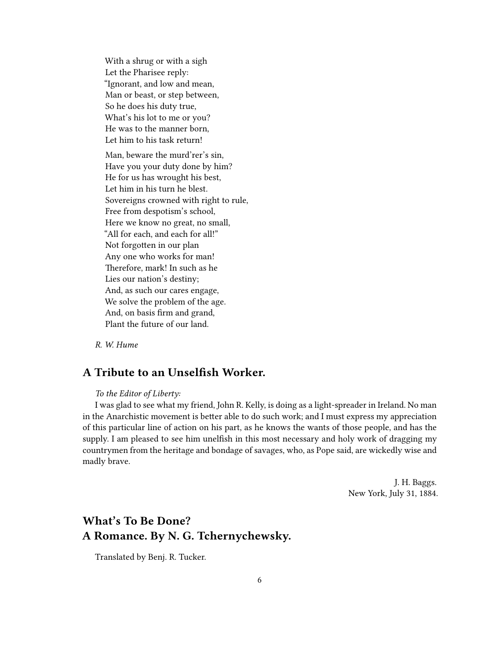With a shrug or with a sigh Let the Pharisee reply: "Ignorant, and low and mean, Man or beast, or step between, So he does his duty true, What's his lot to me or you? He was to the manner born, Let him to his task return!

Man, beware the murd'rer's sin, Have you your duty done by him? He for us has wrought his best, Let him in his turn he blest. Sovereigns crowned with right to rule, Free from despotism's school, Here we know no great, no small, "All for each, and each for all!" Not forgotten in our plan Any one who works for man! Therefore, mark! In such as he Lies our nation's destiny; And, as such our cares engage, We solve the problem of the age. And, on basis firm and grand, Plant the future of our land.

*R. W. Hume*

# <span id="page-5-0"></span>**A Tribute to an Unselfish Worker.**

### *To the Editor of Liberty:*

I was glad to see what my friend, John R. Kelly, is doing as a light-spreader in Ireland. No man in the Anarchistic movement is better able to do such work; and I must express my appreciation of this particular line of action on his part, as he knows the wants of those people, and has the supply. I am pleased to see him unelfish in this most necessary and holy work of dragging my countrymen from the heritage and bondage of savages, who, as Pope said, are wickedly wise and madly brave.

> J. H. Baggs. New York, July 31, 1884.

# <span id="page-5-1"></span>**What's To Be Done? A Romance. By N. G. Tchernychewsky.**

Translated by Benj. R. Tucker.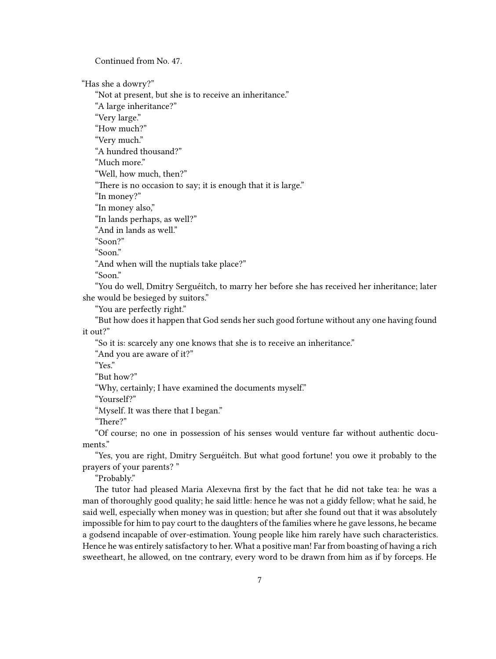Continued from No. 47.

"Has she a dowry?"

"Not at present, but she is to receive an inheritance."

"A large inheritance?"

"Very large."

"How much?"

"Very much."

"A hundred thousand?"

"Much more."

"Well, how much, then?"

"There is no occasion to say; it is enough that it is large."

"In money?"

"In money also,"

"In lands perhaps, as well?"

"And in lands as well."

"Soon?"

"Soon."

"And when will the nuptials take place?"

"Soon."

"You do well, Dmitry Serguéitch, to marry her before she has received her inheritance; later she would be besieged by suitors."

"You are perfectly right."

"But how does it happen that God sends her such good fortune without any one having found it out?"

"So it is: scarcely any one knows that she is to receive an inheritance."

"And you are aware of it?"

"Yes."

"But how?"

"Why, certainly; I have examined the documents myself."

"Yourself?"

"Myself. It was there that I began."

"There?"

"Of course; no one in possession of his senses would venture far without authentic documents."

"Yes, you are right, Dmitry Serguéitch. But what good fortune! you owe it probably to the prayers of your parents? "

"Probably."

The tutor had pleased Maria Alexevna first by the fact that he did not take tea: he was a man of thoroughly good quality; he said little: hence he was not a giddy fellow; what he said, he said well, especially when money was in question; but after she found out that it was absolutely impossible for him to pay court to the daughters of the families where he gave lessons, he became a godsend incapable of over-estimation. Young people like him rarely have such characteristics. Hence he was entirely satisfactory to her. What a positive man! Far from boasting of having a rich sweetheart, he allowed, on tne contrary, every word to be drawn from him as if by forceps. He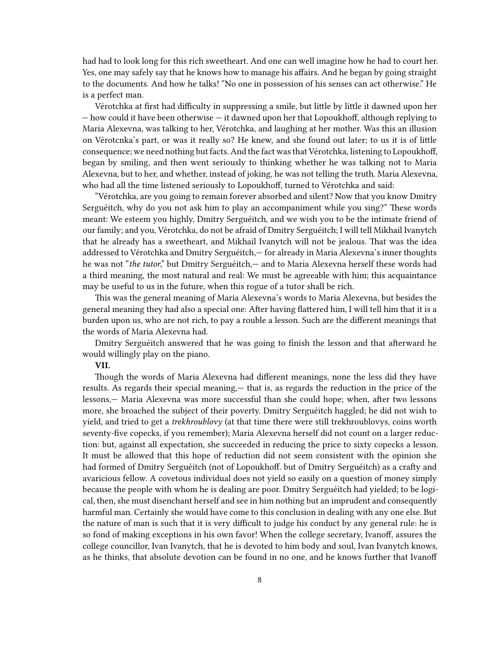had had to look long for this rich sweetheart. And one can well imagine how he had to court her. Yes, one may safely say that he knows how to manage his affairs. And he began by going straight to the documents. And how he talks! "No one in possession of his senses can act otherwise." He is a perfect man.

Vérotchka at first had difficulty in suppressing a smile, but little by little it dawned upon her — how could it have been otherwise — it dawned upon her that Lopoukhoff, although replying to Maria Alexevna, was talking to her, Vérotchka, and laughing at her mother. Was this an illusion on Vérotcnka's part, or was it really so? He knew, and she found out later; to us it is of little consequence; we need nothing but facts. And the fact was that Vérotchka, listening to Lopoukhoff, began by smiling, and then went seriously to thinking whether he was talking not to Maria Alexevna, but to her, and whether, instead of joking, he was not telling the truth. Maria Alexevna, who had all the time listened seriously to Lopoukhoff, turned to Vérotchka and said:

"Vérotchka, are you going to remain forever absorbed and silent? Now that you know Dmitry Serguéitch, why do you not ask him to play an accompaniment while you sing?" These words meant: We esteem you highly, Dmitry Serguéitch, and we wish you to be the intimate friend of our family; and you, Vérotchka, do not be afraid of Dmitry Serguéitch; I will tell Mikhail Ivanytch that he already has a sweetheart, and Mikhail Ivanytch will not be jealous. That was the idea addressed to Vérotchka and Dmitry Serguéitch,— for already in Maria Alexevna's inner thoughts he was not "*the tutor*," but Dmitry Serguéitch,— and to Maria Alexevna herself these words had a third meaning, the most natural and real: We must be agreeable with him; this acquaintance may be useful to us in the future, when this rogue of a tutor shall be rich.

This was the general meaning of Maria Alexevna's words to Maria Alexevna, but besides the general meaning they had also a special one: After having flattered him, I will tell him that it is a burden upon us, who are not rich, to pay a rouble a lesson. Such are the different meanings that the words of Maria Alexevna had.

Dmitry Serguéitch answered that he was going to finish the lesson and that afterward he would willingly play on the piano.

#### **VII.**

Though the words of Maria Alexevna had different meanings, none the less did they have results. As regards their special meaning,— that is, as regards the reduction in the price of the lessons,— Maria Alexevna was more successful than she could hope; when, after two lessons more, she broached the subject of their poverty. Dmitry Serguéitch haggled; he did not wish to yield, and tried to get a *trekhroublovy* (at that time there were still trekhroublovys, coins worth seventy-five copecks, if you remember); Maria Alexevna herself did not count on a larger reduction: but, against all expectation, she succeeded in reducing the price to sixty copecks a lesson. It must be allowed that this hope of reduction did not seem consistent with the opinion she had formed of Dmitry Serguéitch (not of Lopoukhoff. but of Dmitry Serguéitch) as a crafty and avaricious fellow. A covetous individual does not yield so easily on a question of money simply because the people with whom he is dealing are poor. Dmitry Serguéitch had yielded; to be logical, then, she must disenchant herself and see in him nothing but an imprudent and consequently harmful man. Certainly she would have come to this conclusion in dealing with any one else. But the nature of man is such that it is very difficult to judge his conduct by any general rule: he is so fond of making exceptions in his own favor! When the college secretary, Ivanoff, assures the college councillor, Ivan Ivanytch, that he is devoted to him body and soul, Ivan Ivanytch knows, as he thinks, that absolute devotion can be found in no one, and he knows further that Ivanoff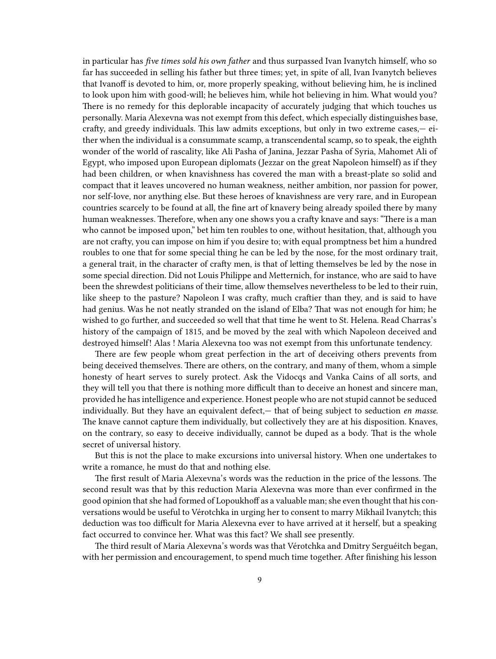in particular has *five times sold his own father* and thus surpassed Ivan Ivanytch himself, who so far has succeeded in selling his father but three times; yet, in spite of all, Ivan Ivanytch believes that Ivanoff is devoted to him, or, more properly speaking, without believing him, he is inclined to look upon him with good-will; he believes him, while hot believing in him. What would you? There is no remedy for this deplorable incapacity of accurately judging that which touches us personally. Maria Alexevna was not exempt from this defect, which especially distinguishes base, crafty, and greedy individuals. This law admits exceptions, but only in two extreme cases,  $-ei$ ther when the individual is a consummate scamp, a transcendental scamp, so to speak, the eighth wonder of the world of rascality, like Ali Pasha of Janina, Jezzar Pasha of Syria, Mahomet Ali of Egypt, who imposed upon European diplomats (Jezzar on the great Napoleon himself) as if they had been children, or when knavishness has covered the man with a breast-plate so solid and compact that it leaves uncovered no human weakness, neither ambition, nor passion for power, nor self-love, nor anything else. But these heroes of knavishness are very rare, and in European countries scarcely to be found at all, the fine art of knavery being already spoiled there by many human weaknesses. Therefore, when any one shows you a crafty knave and says: "There is a man who cannot be imposed upon," bet him ten roubles to one, without hesitation, that, although you are not crafty, you can impose on him if you desire to; with equal promptness bet him a hundred roubles to one that for some special thing he can be led by the nose, for the most ordinary trait, a general trait, in the character of crafty men, is that of letting themselves be led by the nose in some special direction. Did not Louis Philippe and Metternich, for instance, who are said to have been the shrewdest politicians of their time, allow themselves nevertheless to be led to their ruin, like sheep to the pasture? Napoleon I was crafty, much craftier than they, and is said to have had genius. Was he not neatly stranded on the island of Elba? That was not enough for him; he wished to go further, and succeeded so well that that time he went to St. Helena. Read Charras's history of the campaign of 1815, and be moved by the zeal with which Napoleon deceived and destroyed himself! Alas ! Maria Alexevna too was not exempt from this unfortunate tendency.

There are few people whom great perfection in the art of deceiving others prevents from being deceived themselves. There are others, on the contrary, and many of them, whom a simple honesty of heart serves to surely protect. Ask the Vidocqs and Vanka Cains of all sorts, and they will tell you that there is nothing more difficult than to deceive an honest and sincere man, provided he has intelligence and experience. Honest people who are not stupid cannot be seduced individually. But they have an equivalent defect,— that of being subject to seduction *en masse*. The knave cannot capture them individually, but collectively they are at his disposition. Knaves, on the contrary, so easy to deceive individually, cannot be duped as a body. That is the whole secret of universal history.

But this is not the place to make excursions into universal history. When one undertakes to write a romance, he must do that and nothing else.

The first result of Maria Alexevna's words was the reduction in the price of the lessons. The second result was that by this reduction Maria Alexevna was more than ever confirmed in the good opinion that she had formed of Lopoukhoff as a valuable man; she even thought that his conversations would be useful to Vérotchka in urging her to consent to marry Mikhail Ivanytch; this deduction was too difficult for Maria Alexevna ever to have arrived at it herself, but a speaking fact occurred to convince her. What was this fact? We shall see presently.

The third result of Maria Alexevna's words was that Vérotchka and Dmitry Serguéitch began, with her permission and encouragement, to spend much time together. After finishing his lesson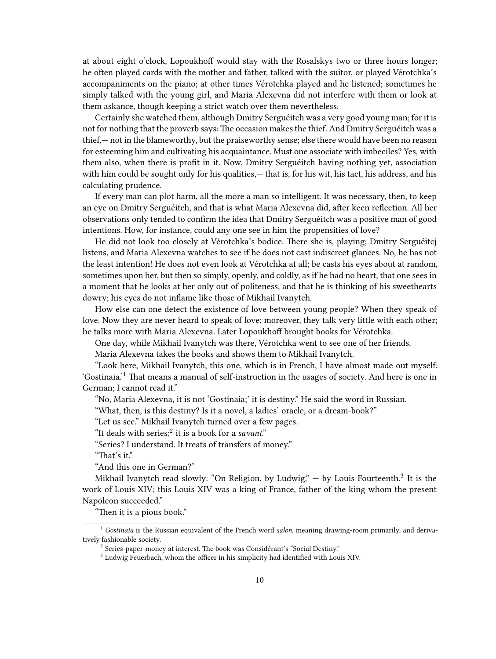at about eight o'clock, Lopoukhoff would stay with the Rosalskys two or three hours longer; he often played cards with the mother and father, talked with the suitor, or played Vérotchka's accompaniments on the piano; at other times Vérotchka played and he listened; sometimes he simply talked with the young girl, and Maria Alexevna did not interfere with them or look at them askance, though keeping a strict watch over them nevertheless.

Certainly she watched them, although Dmitry Serguéitch was a very good young man; for it is not for nothing that the proverb says: The occasion makes the thief. And Dmitry Serguéitch was a thief,— not in the blameworthy, but the praiseworthy sense; else there would have been no reason for esteeming him and cultivating his acquaintance. Must one associate with imbeciles? Yes, with them also, when there is profit in it. Now, Dmitry Serguéitch having nothing yet, association with him could be sought only for his qualities,— that is, for his wit, his tact, his address, and his calculating prudence.

If every man can plot harm, all the more a man so intelligent. It was necessary, then, to keep an eye on Dmitry Serguéitch, and that is what Maria Alexevna did, after keen reflection. All her observations only tended to confirm the idea that Dmitry Serguéitch was a positive man of good intentions. How, for instance, could any one see in him the propensities of love?

He did not look too closely at Vérotchka's bodice. There she is, playing; Dmitry Serguéitcj listens, and Maria Alexevna watches to see if he does not cast indiscreet glances. No, he has not the least intention! He does not even look at Vérotchka at all; be casts his eyes about at random, sometimes upon her, but then so simply, openly, and coldly, as if he had no heart, that one sees in a moment that he looks at her only out of politeness, and that he is thinking of his sweethearts dowry; his eyes do not inflame like those of Mikhail Ivanytch.

How else can one detect the existence of love between young people? When they speak of love. Now they are never heard to speak of love; moreover, they talk very little with each other; he talks more with Maria Alexevna. Later Lopoukhoff brought books for Vérotchka.

One day, while Mikhail Ivanytch was there, Vérotchka went to see one of her friends.

Maria Alexevna takes the books and shows them to Mikhail Ivanytch.

"Look here, Mikhail Ivanytch, this one, which is in French, I have almost made out myself: 'Gostinaia.'<sup>1</sup> That means a manual of self-instruction in the usages of society. And here is one in German; I cannot read it."

"No, Maria Alexevna, it is not 'Gostinaia;' it is destiny." He said the word in Russian.

"What, then, is this destiny? Is it a novel, a ladies' oracle, or a dream-book?"

"Let us see." Mikhail Ivanytch turned over a few pages.

"It deals with series;<sup>2</sup> it is a book for a *savant*."

"Series? I understand. It treats of transfers of money."

"That's it."

"And this one in German?"

Mikhail Ivanytch read slowly: "On Religion, by Ludwig," — by Louis Fourteenth.<sup>3</sup> It is the work of Louis XIV; this Louis XIV was a king of France, father of the king whom the present Napoleon succeeded."

"Then it is a pious book."

<sup>1</sup> *Gostinaia* is the Russian equivalent of the French word *salon*, meaning drawing-room primarily, and derivatively fashionable society.

<sup>&</sup>lt;sup>2</sup> Series-paper-money at interest. The book was Considérant's "Social Destiny."

 $3$  Ludwig Feuerbach, whom the officer in his simplicity had identified with Louis XIV.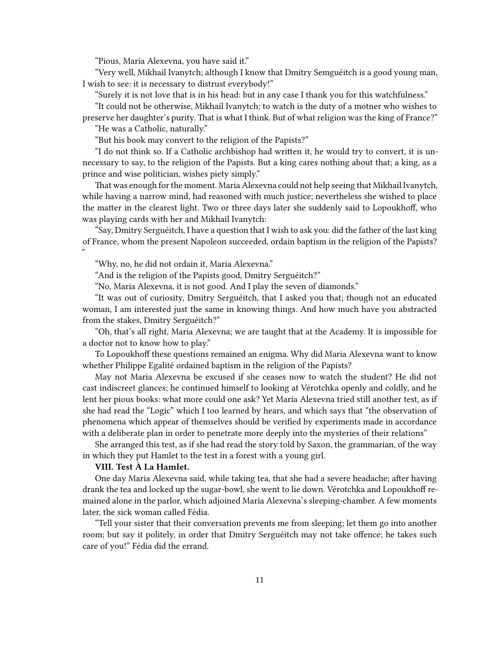"Pious, Maria Alexevna, you have said it."

"Very well, Mikhail Ivanytch; although I know that Dmitry Semguéitch is a good young man, I wish to see: it is necessary to distrust everybody!"

"Surely it is not love that is in his head: but in any case I thank you for this watchfulness."

"It could not be otherwise, Mikhail Ivanytch; to watch is the duty of a motner who wishes to preserve her daughter's purity. That is what I think. But of what religion was the king of France?"

"He was a Catholic, naturally."

"But his book may convert to the religion of the Papists?"

"I do not think so. If a Catholic archbishop had written it, he would try to convert, it is unnecessary to say, to the religion of the Papists. But a king cares nothing about that; a king, as a prince and wise politician, wishes piety simply."

That was enough for the moment. Maria Alexevna could not help seeing that Mikhail Ivanytch, while having a narrow mind, had reasoned with much justice; nevertheless she wished to place the matter in the clearest light. Two or three days later she suddenly said to Lopoukhoff, who was playing cards with her and Mikhail Ivanytch:

"Say, Dmitry Serguéitch, I have a question that I wish to ask you: did the father of the last king of France, whom the present Napoleon succeeded, ordain baptism in the religion of the Papists? "

"Why, no, he did not ordain it, Maria Alexevna."

"And is the religion of the Papists good, Dmitry Serguéitch?"

"No, Maria Alexevna, it is not good. And I play the seven of diamonds."

"It was out of curiosity, Dmitry Serguéitch, that I asked you that; though not an educated woman, I am interested just the same in knowing things. And how much have you abstracted from the stakes, Dmitry Serguéitch?"

"Oh, that's all right, Maria Alexevna; we are taught that at the Academy. It is impossible for a doctor not to know how to play."

To Lopoukhoff these questions remained an enigma. Why did Maria Alexevna want to know whether Philippe Egalité ordained baptism in the religion of the Papists?

May not Maria Alexevna be excused if she ceases now to watch the student? He did not cast indiscreet glances; he continued himself to looking at Vérotchka openly and coldly, and he lent her pious books: what more could one ask? Yet Maria Alexevna tried still another test, as if she had read the "Logic" which I too learned by hears, and which says that "the observation of phenomena which appear of themselves should be verified by experiments made in accordance with a deliberate plan in order to penetrate more deeply into the mysteries of their relations"

She arranged this test, as if she had read the story told by Saxon, the grammarian, of the way in which they put Hamlet to the test in a forest with a young girl.

#### **VIII. Test À La Hamlet.**

One day Maria Alexevna said, while taking tea, that she had a severe headache; after having drank the tea and locked up the sugar-bowl, she went to lie down. Vérotchka and Lopoukhoff remained alone in the parlor, which adjoined Maria Alexevna's sleeping-chamber. A few moments later, the sick woman called Fédia.

"Tell your sister that their conversation prevents me from sleeping; let them go into another room; but say it politely, in order that Dmitry Serguéitch may not take offence; he takes such care of you!" Fédia did the errand.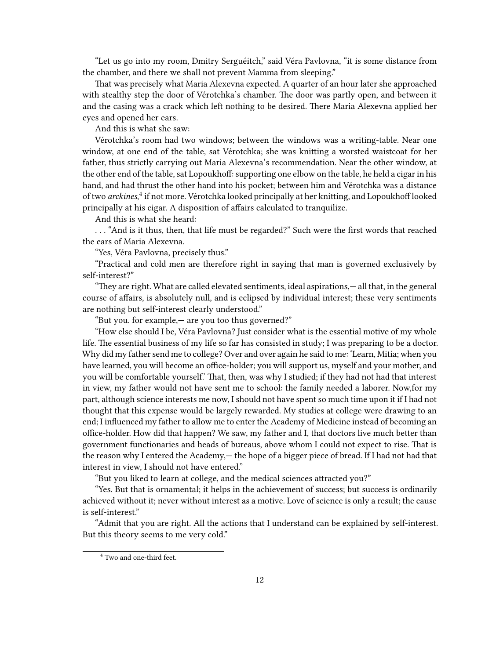"Let us go into my room, Dmitry Serguéitch," said Véra Pavlovna, "it is some distance from the chamber, and there we shall not prevent Mamma from sleeping."

That was precisely what Maria Alexevna expected. A quarter of an hour later she approached with stealthy step the door of Vérotchka's chamber. The door was partly open, and between it and the casing was a crack which left nothing to be desired. There Maria Alexevna applied her eyes and opened her ears.

And this is what she saw:

Vérotchka's room had two windows; between the windows was a writing-table. Near one window, at one end of the table, sat Vérotchka; she was knitting a worsted waistcoat for her father, thus strictly carrying out Maria Alexevna's recommendation. Near the other window, at the other end of the table, sat Lopoukhoff: supporting one elbow on the table, he held a cigar in his hand, and had thrust the other hand into his pocket; between him and Vérotchka was a distance of two *arckines*,<sup>4</sup> if not more. Vérotchka looked principally at her knitting, and Lopoukhoff looked principally at his cigar. A disposition of affairs calculated to tranquilize.

And this is what she heard:

. . . "And is it thus, then, that life must be regarded?" Such were the first words that reached the ears of Maria Alexevna.

"Yes, Véra Pavlovna, precisely thus."

"Practical and cold men are therefore right in saying that man is governed exclusively by self-interest?"

"They are right. What are called elevated sentiments, ideal aspirations,— all that, in the general course of affairs, is absolutely null, and is eclipsed by individual interest; these very sentiments are nothing but self-interest clearly understood."

"But you. for example,— are you too thus governed?"

"How else should I be, Véra Pavlovna? Just consider what is the essential motive of my whole life. The essential business of my life so far has consisted in study; I was preparing to be a doctor. Why did my father send me to college? Over and over again he said to me: 'Learn, Mitia; when you have learned, you will become an office-holder; you will support us, myself and your mother, and you will be comfortable yourself.' That, then, was why I studied; if they had not had that interest in view, my father would not have sent me to school: the family needed a laborer. Now,for my part, although science interests me now, I should not have spent so much time upon it if I had not thought that this expense would be largely rewarded. My studies at college were drawing to an end; I influenced my father to allow me to enter the Academy of Medicine instead of becoming an office-holder. How did that happen? We saw, my father and I, that doctors live much better than government functionaries and heads of bureaus, above whom I could not expect to rise. That is the reason why I entered the Academy,— the hope of a bigger piece of bread. If I had not had that interest in view, I should not have entered."

"But you liked to learn at college, and the medical sciences attracted you?"

"Yes. But that is ornamental; it helps in the achievement of success; but success is ordinarily achieved without it; never without interest as a motive. Love of science is only a result; the cause is self-interest."

"Admit that you are right. All the actions that I understand can be explained by self-interest. But this theory seems to me very cold."

<sup>&</sup>lt;sup>4</sup> Two and one-third feet.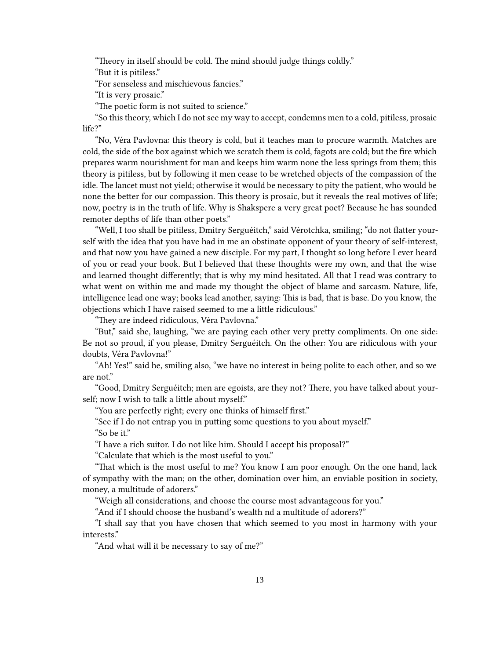"Theory in itself should be cold. The mind should judge things coldly."

"But it is pitiless."

"For senseless and mischievous fancies."

"It is very prosaic."

"The poetic form is not suited to science."

"So this theory, which I do not see my way to accept, condemns men to a cold, pitiless, prosaic life?"

"No, Véra Pavlovna: this theory is cold, but it teaches man to procure warmth. Matches are cold, the side of the box against which we scratch them is cold, fagots are cold; but the fire which prepares warm nourishment for man and keeps him warm none the less springs from them; this theory is pitiless, but by following it men cease to be wretched objects of the compassion of the idle. The lancet must not yield; otherwise it would be necessary to pity the patient, who would be none the better for our compassion. This theory is prosaic, but it reveals the real motives of life; now, poetry is in the truth of life. Why is Shakspere a very great poet? Because he has sounded remoter depths of life than other poets."

"Well, I too shall be pitiless, Dmitry Serguéitch," said Vérotchka, smiling; "do not flatter yourself with the idea that you have had in me an obstinate opponent of your theory of self-interest, and that now you have gained a new disciple. For my part, I thought so long before I ever heard of you or read your book. But I believed that these thoughts were my own, and that the wise and learned thought differently; that is why my mind hesitated. All that I read was contrary to what went on within me and made my thought the object of blame and sarcasm. Nature, life, intelligence lead one way; books lead another, saying: This is bad, that is base. Do you know, the objections which I have raised seemed to me a little ridiculous."

"They are indeed ridiculous, Véra Pavlovna."

"But," said she, laughing, "we are paying each other very pretty compliments. On one side: Be not so proud, if you please, Dmitry Serguéitch. On the other: You are ridiculous with your doubts, Véra Pavlovna!"

"Ah! Yes!" said he, smiling also, "we have no interest in being polite to each other, and so we are not."

"Good, Dmitry Serguéitch; men are egoists, are they not? There, you have talked about yourself; now I wish to talk a little about myself."

"You are perfectly right; every one thinks of himself first."

"See if I do not entrap you in putting some questions to you about myself."

"So be it."

"I have a rich suitor. I do not like him. Should I accept his proposal?"

"Calculate that which is the most useful to you."

"That which is the most useful to me? You know I am poor enough. On the one hand, lack of sympathy with the man; on the other, domination over him, an enviable position in society, money, a multitude of adorers."

"Weigh all considerations, and choose the course most advantageous for you."

"And if I should choose the husband's wealth nd a multitude of adorers?"

"I shall say that you have chosen that which seemed to you most in harmony with your interests."

"And what will it be necessary to say of me?"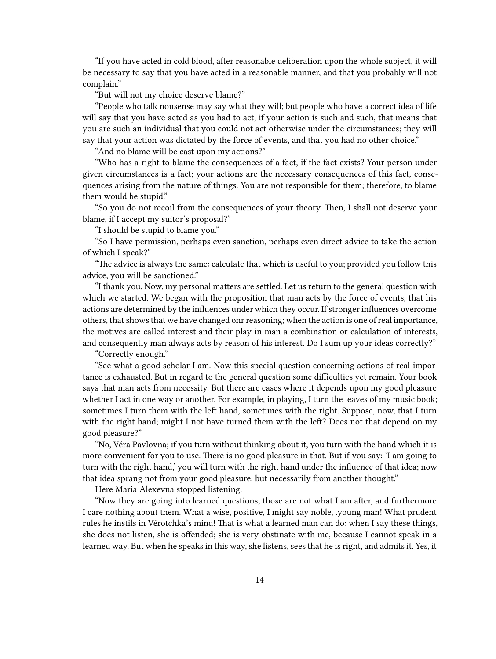"If you have acted in cold blood, after reasonable deliberation upon the whole subject, it will be necessary to say that you have acted in a reasonable manner, and that you probably will not complain."

"But will not my choice deserve blame?"

"People who talk nonsense may say what they will; but people who have a correct idea of life will say that you have acted as you had to act; if your action is such and such, that means that you are such an individual that you could not act otherwise under the circumstances; they will say that your action was dictated by the force of events, and that you had no other choice."

"And no blame will be cast upon my actions?"

"Who has a right to blame the consequences of a fact, if the fact exists? Your person under given circumstances is a fact; your actions are the necessary consequences of this fact, consequences arising from the nature of things. You are not responsible for them; therefore, to blame them would be stupid."

"So you do not recoil from the consequences of your theory. Then, I shall not deserve your blame, if I accept my suitor's proposal?"

"I should be stupid to blame you."

"So I have permission, perhaps even sanction, perhaps even direct advice to take the action of which I speak?"

"The advice is always the same: calculate that which is useful to you; provided you follow this advice, you will be sanctioned."

"I thank you. Now, my personal matters are settled. Let us return to the general question with which we started. We began with the proposition that man acts by the force of events, that his actions are determined by the influences under which they occur. If stronger influences overcome others, that shows that we have changed onr reasoning; when the action is one of real importance, the motives are called interest and their play in man a combination or calculation of interests, and consequently man always acts by reason of his interest. Do I sum up your ideas correctly?"

"Correctly enough."

"See what a good scholar I am. Now this special question concerning actions of real importance is exhausted. But in regard to the general question some difficulties yet remain. Your book says that man acts from necessity. But there are cases where it depends upon my good pleasure whether I act in one way or another. For example, in playing, I turn the leaves of my music book; sometimes I turn them with the left hand, sometimes with the right. Suppose, now, that I turn with the right hand; might I not have turned them with the left? Does not that depend on my good pleasure?"

"No, Véra Pavlovna; if you turn without thinking about it, you turn with the hand which it is more convenient for you to use. There is no good pleasure in that. But if you say: 'I am going to turn with the right hand,' you will turn with the right hand under the influence of that idea; now that idea sprang not from your good pleasure, but necessarily from another thought."

Here Maria Alexevna stopped listening.

"Now they are going into learned questions; those are not what I am after, and furthermore I care nothing about them. What a wise, positive, I might say noble, .young man! What prudent rules he instils in Vérotchka's mind! That is what a learned man can do: when I say these things, she does not listen, she is offended; she is very obstinate with me, because I cannot speak in a learned way. But when he speaks in this way, she listens, sees that he is right, and admits it. Yes, it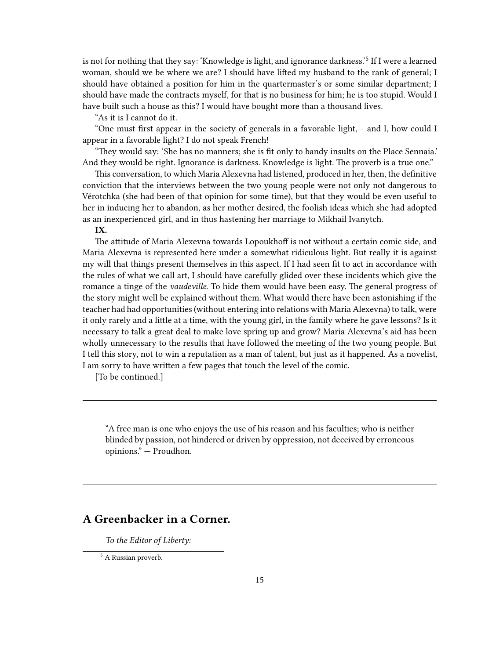is not for nothing that they say: 'Knowledge is light, and ignorance darkness.'<sup>5</sup> If I were a learned woman, should we be where we are? I should have lifted my husband to the rank of general; I should have obtained a position for him in the quartermaster's or some similar department; I should have made the contracts myself, for that is no business for him; he is too stupid. Would I have built such a house as this? I would have bought more than a thousand lives.

"As it is I cannot do it.

"One must first appear in the society of generals in a favorable light,— and I, how could I appear in a favorable light? I do not speak French!

"They would say: 'She has no manners; she is fit only to bandy insults on the Place Sennaia.' And they would be right. Ignorance is darkness. Knowledge is light. The proverb is a true one."

This conversation, to which Maria Alexevna had listened, produced in her, then, the definitive conviction that the interviews between the two young people were not only not dangerous to Vérotchka (she had been of that opinion for some time), but that they would be even useful to her in inducing her to abandon, as her mother desired, the foolish ideas which she had adopted as an inexperienced girl, and in thus hastening her marriage to Mikhail Ivanytch.

### **IX.**

The attitude of Maria Alexevna towards Lopoukhoff is not without a certain comic side, and Maria Alexevna is represented here under a somewhat ridiculous light. But really it is against my will that things present themselves in this aspect. If I had seen fit to act in accordance with the rules of what we call art, I should have carefully glided over these incidents which give the romance a tinge of the *vaudeville*. To hide them would have been easy. The general progress of the story might well be explained without them. What would there have been astonishing if the teacher had had opportunities (without entering into relations with Maria Alexevna) to talk, were it only rarely and a little at a time, with the young girl, in the family where he gave lessons? Is it necessary to talk a great deal to make love spring up and grow? Maria Alexevna's aid has been wholly unnecessary to the results that have followed the meeting of the two young people. But I tell this story, not to win a reputation as a man of talent, but just as it happened. As a novelist, I am sorry to have written a few pages that touch the level of the comic.

[To be continued.]

"A free man is one who enjoys the use of his reason and his faculties; who is neither blinded by passion, not hindered or driven by oppression, not deceived by erroneous opinions." — Proudhon.

## <span id="page-14-0"></span>**A Greenbacker in a Corner.**

*To the Editor of Liberty:*

<sup>&</sup>lt;sup>5</sup> A Russian proverb.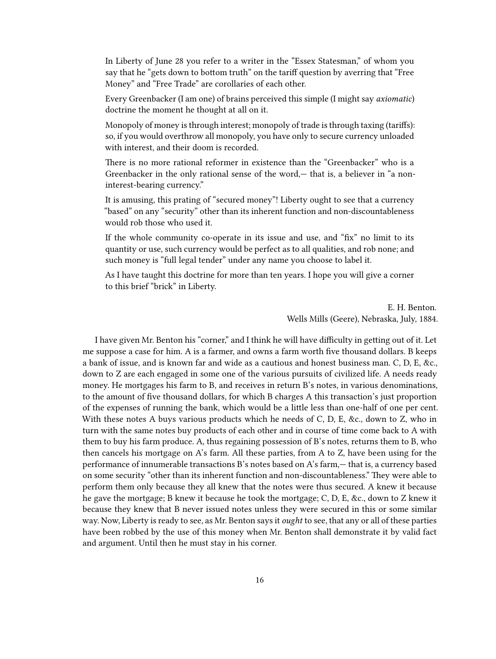In Liberty of June 28 you refer to a writer in the "Essex Statesman," of whom you say that he "gets down to bottom truth" on the tariff question by averring that "Free Money" and "Free Trade" are corollaries of each other.

Every Greenbacker (I am one) of brains perceived this simple (I might say *axiomatic*) doctrine the moment he thought at all on it.

Monopoly of money is through interest; monopoly of trade is through taxing (tariffs): so, if you would overthrow all monopoly, you have only to secure currency unloaded with interest, and their doom is recorded.

There is no more rational reformer in existence than the "Greenbacker" who is a Greenbacker in the only rational sense of the word,— that is, a believer in "a noninterest-bearing currency."

It is amusing, this prating of "secured money"! Liberty ought to see that a currency "based" on any "security" other than its inherent function and non-discountableness would rob those who used it.

If the whole community co-operate in its issue and use, and "fix" no limit to its quantity or use, such currency would be perfect as to all qualities, and rob none; and such money is "full legal tender" under any name you choose to label it.

As I have taught this doctrine for more than ten years. I hope you will give a corner to this brief "brick" in Liberty.

> E. H. Benton. Wells Mills (Geere), Nebraska, July, 1884.

I have given Mr. Benton his "corner," and I think he will have difficulty in getting out of it. Let me suppose a case for him. A is a farmer, and owns a farm worth five thousand dollars. B keeps a bank of issue, and is known far and wide as a cautious and honest business man. C, D, E, &c., down to Z are each engaged in some one of the various pursuits of civilized life. A needs ready money. He mortgages his farm to B, and receives in return B's notes, in various denominations, to the amount of five thousand dollars, for which B charges A this transaction's just proportion of the expenses of running the bank, which would be a little less than one-half of one per cent. With these notes A buys various products which he needs of C, D, E, &c., down to Z, who in turn with the same notes buy products of each other and in course of time come back to A with them to buy his farm produce. A, thus regaining possession of B's notes, returns them to B, who then cancels his mortgage on A's farm. All these parties, from A to Z, have been using for the performance of innumerable transactions B's notes based on A's farm,— that is, a currency based on some security "other than its inherent function and non-discountableness." They were able to perform them only because they all knew that the notes were thus secured. A knew it because he gave the mortgage; B knew it because he took the mortgage; C, D, E, &c., down to Z knew it because they knew that B never issued notes unless they were secured in this or some similar way. Now, Liberty is ready to see, as Mr. Benton says it *ought* to see, that any or all of these parties have been robbed by the use of this money when Mr. Benton shall demonstrate it by valid fact and argument. Until then he must stay in his corner.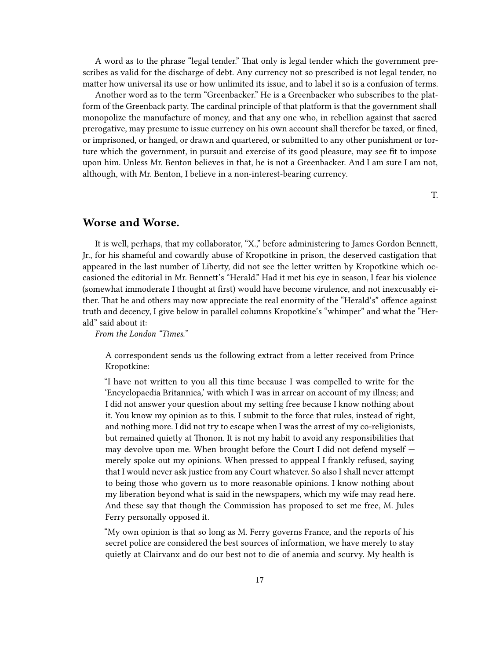A word as to the phrase "legal tender." That only is legal tender which the government prescribes as valid for the discharge of debt. Any currency not so prescribed is not legal tender, no matter how universal its use or how unlimited its issue, and to label it so is a confusion of terms.

Another word as to the term "Greenbacker." He is a Greenbacker who subscribes to the platform of the Greenback party. The cardinal principle of that platform is that the government shall monopolize the manufacture of money, and that any one who, in rebellion against that sacred prerogative, may presume to issue currency on his own account shall therefor be taxed, or fined, or imprisoned, or hanged, or drawn and quartered, or submitted to any other punishment or torture which the government, in pursuit and exercise of its good pleasure, may see fit to impose upon him. Unless Mr. Benton believes in that, he is not a Greenbacker. And I am sure I am not, although, with Mr. Benton, I believe in a non-interest-bearing currency.

T.

## <span id="page-16-0"></span>**Worse and Worse.**

It is well, perhaps, that my collaborator, "X.," before administering to James Gordon Bennett, Jr., for his shameful and cowardly abuse of Kropotkine in prison, the deserved castigation that appeared in the last number of Liberty, did not see the letter written by Kropotkine which occasioned the editorial in Mr. Bennett's "Herald." Had it met his eye in season, I fear his violence (somewhat immoderate I thought at first) would have become virulence, and not inexcusably either. That he and others may now appreciate the real enormity of the "Herald's" offence against truth and decency, I give below in parallel columns Kropotkine's "whimper" and what the "Herald" said about it:

*From the London "Times."*

A correspondent sends us the following extract from a letter received from Prince Kropotkine:

"I have not written to you all this time because I was compelled to write for the 'Encyclopaedia Britannica,' with which I was in arrear on account of my illness; and I did not answer your question about my setting free because I know nothing about it. You know my opinion as to this. I submit to the force that rules, instead of right, and nothing more. I did not try to escape when I was the arrest of my co-religionists, but remained quietly at Thonon. It is not my habit to avoid any responsibilities that may devolve upon me. When brought before the Court I did not defend myself merely spoke out my opinions. When pressed to apppeal I frankly refused, saying that I would never ask justice from any Court whatever. So also I shall never attempt to being those who govern us to more reasonable opinions. I know nothing about my liberation beyond what is said in the newspapers, which my wife may read here. And these say that though the Commission has proposed to set me free, M. Jules Ferry personally opposed it.

"My own opinion is that so long as M. Ferry governs France, and the reports of his secret police are considered the best sources of information, we have merely to stay quietly at Clairvanx and do our best not to die of anemia and scurvy. My health is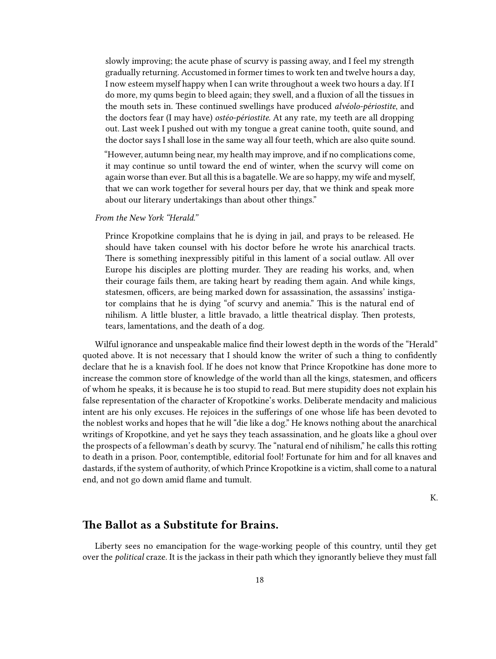slowly improving; the acute phase of scurvy is passing away, and I feel my strength gradually returning. Accustomed in former times to work ten and twelve hours a day, I now esteem myself happy when I can write throughout a week two hours a day. If I do more, my qums begin to bleed again; they swell, and a fluxion of all the tissues in the mouth sets in. These continued swellings have produced *alvéolo-périostite*, and the doctors fear (I may have) *ostéo-périostite*. At any rate, my teeth are all dropping out. Last week I pushed out with my tongue a great canine tooth, quite sound, and the doctor says I shall lose in the same way all four teeth, which are also quite sound.

"However, autumn being near, my health may improve, and if no complications come, it may continue so until toward the end of winter, when the scurvy will come on again worse than ever. But all this is a bagatelle. We are so happy, my wife and myself, that we can work together for several hours per day, that we think and speak more about our literary undertakings than about other things."

*From the New York "Herald."*

Prince Kropotkine complains that he is dying in jail, and prays to be released. He should have taken counsel with his doctor before he wrote his anarchical tracts. There is something inexpressibly pitiful in this lament of a social outlaw. All over Europe his disciples are plotting murder. They are reading his works, and, when their courage fails them, are taking heart by reading them again. And while kings, statesmen, officers, are being marked down for assassination, the assassins' instigator complains that he is dying "of scurvy and anemia." This is the natural end of nihilism. A little bluster, a little bravado, a little theatrical display. Then protests, tears, lamentations, and the death of a dog.

Wilful ignorance and unspeakable malice find their lowest depth in the words of the "Herald" quoted above. It is not necessary that I should know the writer of such a thing to confidently declare that he is a knavish fool. If he does not know that Prince Kropotkine has done more to increase the common store of knowledge of the world than all the kings, statesmen, and officers of whom he speaks, it is because he is too stupid to read. But mere stupidity does not explain his false representation of the character of Kropotkine's works. Deliberate mendacity and malicious intent are his only excuses. He rejoices in the sufferings of one whose life has been devoted to the noblest works and hopes that he will "die like a dog." He knows nothing about the anarchical writings of Kropotkine, and yet he says they teach assassination, and he gloats like a ghoul over the prospects of a fellowman's death by scurvy. The "natural end of nihilism," he calls this rotting to death in a prison. Poor, contemptible, editorial fool! Fortunate for him and for all knaves and dastards, if the system of authority, of which Prince Kropotkine is a victim, shall come to a natural end, and not go down amid flame and tumult.

K.

## <span id="page-17-0"></span>**The Ballot as a Substitute for Brains.**

Liberty sees no emancipation for the wage-working people of this country, until they get over the *political* craze. It is the jackass in their path which they ignorantly believe they must fall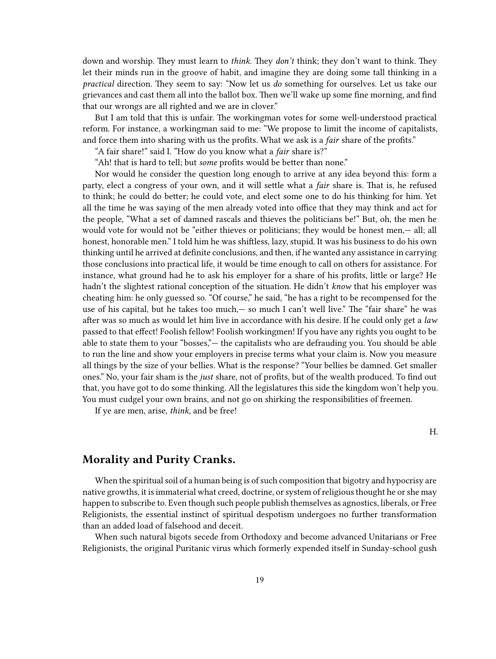down and worship. They must learn to *think*. They *don't* think; they don't want to think. They let their minds run in the groove of habit, and imagine they are doing some tall thinking in a *practical* direction. They seem to say: "Now let us *do* something for ourselves. Let us take our grievances and cast them all into the ballot box. Then we'll wake up some fine morning, and find that our wrongs are all righted and we are in clover."

But I am told that this is unfair. The workingman votes for some well-understood practical reform. For instance, a workingman said to me: "We propose to limit the income of capitalists, and force them into sharing with us the profits. What we ask is a *fair* share of the profits."

"A fair share!" said I. "How do you know what a *fair* share is?"

"Ah! that is hard to tell; but *some* profits would be better than none."

Nor would he consider the question long enough to arrive at any idea beyond this: form a party, elect a congress of your own, and it will settle what a *fair* share is. That is, he refused to think; he could do better; he could vote, and elect some one to do his thinking for him. Yet all the time he was saying of the men already voted into office that they may think and act for the people, "What a set of damned rascals and thieves the politicians be!" But, oh, the men he would vote for would not be "either thieves or politicians; they would be honest men,— all; all honest, honorable men." I told him he was shiftless, lazy, stupid. It was his business to do his own thinking until he arrived at definite conclusions, and then, if he wanted any assistance in carrying those conclusions into practical life, it would be time enough to call on others for assistance. For instance, what ground had he to ask his employer for a share of his profits, little or large? He hadn't the slightest rational conception of the situation. He didn't *know* that his employer was cheating him: he only guessed so. "Of course," he said, "he has a right to be recompensed for the use of his capital, but he takes too much,— so much I can't well live." The "fair share" he was after was so much as would let him live in accordance with his desire. If he could only get a *law* passed to that effect! Foolish fellow! Foolish workingmen! If you have any rights you ought to be able to state them to your "bosses," — the capitalists who are defrauding you. You should be able to run the line and show your employers in precise terms what your claim is. Now you measure all things by the size of your bellies. What is the response? "Your bellies be damned. Get smaller ones." No, your fair sham is the *just* share, not of profits, but of the wealth produced. To find out that, you have got to do some thinking. All the legislatures this side the kingdom won't help you. You must cudgel your own brains, and not go on shirking the responsibilities of freemen.

If ye are men, arise, *think*, and be free!

H.

## <span id="page-18-0"></span>**Morality and Purity Cranks.**

When the spiritual soil of a human being is of such composition that bigotry and hypocrisy are native growths, it is immaterial what creed, doctrine, or system of religious thought he or she may happen to subscribe to. Even though such people publish themselves as agnostics, liberals, or Free Religionists, the essential instinct of spiritual despotism undergoes no further transformation than an added load of falsehood and deceit.

When such natural bigots secede from Orthodoxy and become advanced Unitarians or Free Religionists, the original Puritanic virus which formerly expended itself in Sunday-school gush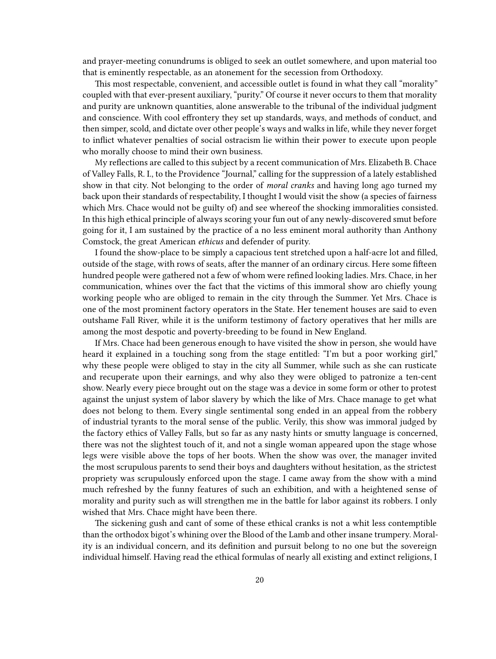and prayer-meeting conundrums is obliged to seek an outlet somewhere, and upon material too that is eminently respectable, as an atonement for the secession from Orthodoxy.

This most respectable, convenient, and accessible outlet is found in what they call "morality" coupled with that ever-present auxiliary, "purity." Of course it never occurs to them that morality and purity are unknown quantities, alone answerable to the tribunal of the individual judgment and conscience. With cool effrontery they set up standards, ways, and methods of conduct, and then simper, scold, and dictate over other people's ways and walks in life, while they never forget to inflict whatever penalties of social ostracism lie within their power to execute upon people who morally choose to mind their own business.

My reflections are called to this subject by a recent communication of Mrs. Elizabeth B. Chace of Valley Falls, R. I., to the Providence "Journal," calling for the suppression of a lately established show in that city. Not belonging to the order of *moral cranks* and having long ago turned my back upon their standards of respectability, I thought I would visit the show (a species of fairness which Mrs. Chace would not be guilty of) and see whereof the shocking immoralities consisted. In this high ethical principle of always scoring your fun out of any newly-discovered smut before going for it, I am sustained by the practice of a no less eminent moral authority than Anthony Comstock, the great American *ethicus* and defender of purity.

I found the show-place to be simply a capacious tent stretched upon a half-acre lot and filled, outside of the stage, with rows of seats, after the manner of an ordinary circus. Here some fifteen hundred people were gathered not a few of whom were refined looking ladies. Mrs. Chace, in her communication, whines over the fact that the victims of this immoral show aro chiefly young working people who are obliged to remain in the city through the Summer. Yet Mrs. Chace is one of the most prominent factory operators in the State. Her tenement houses are said to even outshame Fall River, while it is the uniform testimony of factory operatives that her mills are among the most despotic and poverty-breeding to be found in New England.

If Mrs. Chace had been generous enough to have visited the show in person, she would have heard it explained in a touching song from the stage entitled: "I'm but a poor working girl," why these people were obliged to stay in the city all Summer, while such as she can rusticate and recuperate upon their earnings, and why also they were obliged to patronize a ten-cent show. Nearly every piece brought out on the stage was a device in some form or other to protest against the unjust system of labor slavery by which the like of Mrs. Chace manage to get what does not belong to them. Every single sentimental song ended in an appeal from the robbery of industrial tyrants to the moral sense of the public. Verily, this show was immoral judged by the factory ethics of Valley Falls, but so far as any nasty hints or smutty language is concerned, there was not the slightest touch of it, and not a single woman appeared upon the stage whose legs were visible above the tops of her boots. When the show was over, the manager invited the most scrupulous parents to send their boys and daughters without hesitation, as the strictest propriety was scrupulously enforced upon the stage. I came away from the show with a mind much refreshed by the funny features of such an exhibition, and with a heightened sense of morality and purity such as will strengthen me in the battle for labor against its robbers. I only wished that Mrs. Chace might have been there.

The sickening gush and cant of some of these ethical cranks is not a whit less contemptible than the orthodox bigot's whining over the Blood of the Lamb and other insane trumpery. Morality is an individual concern, and its definition and pursuit belong to no one but the sovereign individual himself. Having read the ethical formulas of nearly all existing and extinct religions, I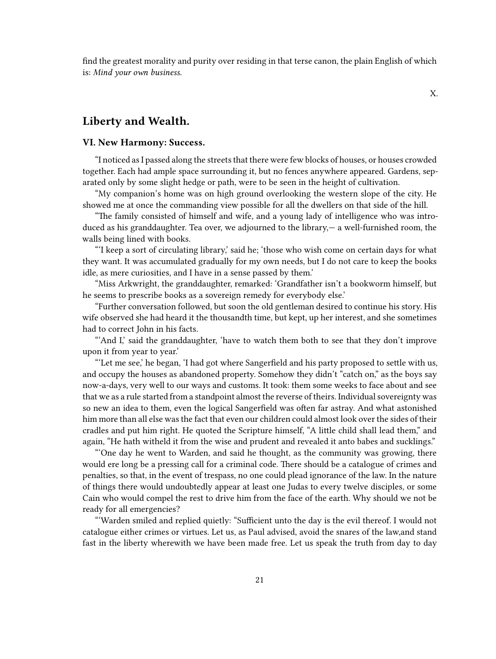find the greatest morality and purity over residing in that terse canon, the plain English of which is: *Mind your own business.*

X.

## <span id="page-20-0"></span>**Liberty and Wealth.**

## <span id="page-20-1"></span>**VI. New Harmony: Success.**

"I noticed as I passed along the streets that there were few blocks of houses, or houses crowded together. Each had ample space surrounding it, but no fences anywhere appeared. Gardens, separated only by some slight hedge or path, were to be seen in the height of cultivation.

"My companion's home was on high ground overlooking the western slope of the city. He showed me at once the commanding view possible for all the dwellers on that side of the hill.

"The family consisted of himself and wife, and a young lady of intelligence who was introduced as his granddaughter. Tea over, we adjourned to the library,— a well-furnished room, the walls being lined with books.

"'I keep a sort of circulating library,' said he; 'those who wish come on certain days for what they want. It was accumulated gradually for my own needs, but I do not care to keep the books idle, as mere curiosities, and I have in a sense passed by them.'

"Miss Arkwright, the granddaughter, remarked: 'Grandfather isn't a bookworm himself, but he seems to prescribe books as a sovereign remedy for everybody else.'

"Further conversation followed, but soon the old gentleman desired to continue his story. His wife observed she had heard it the thousandth time, but kept, up her interest, and she sometimes had to correct John in his facts.

"And I,' said the granddaughter, 'have to watch them both to see that they don't improve upon it from year to year.'

"'Let me see,' he began, 'I had got where Sangerfield and his party proposed to settle with us, and occupy the houses as abandoned property. Somehow they didn't "catch on," as the boys say now-a-days, very well to our ways and customs. It took: them some weeks to face about and see that we as a rule started from a standpoint almost the reverse of theirs. Individual sovereignty was so new an idea to them, even the logical Sangerfield was often far astray. And what astonished him more than all else was the fact that even our children could almost look over the sides of their cradles and put him right. He quoted the Scripture himself, "A little child shall lead them," and again, "He hath witheld it from the wise and prudent and revealed it anto babes and sucklings."

"'One day he went to Warden, and said he thought, as the community was growing, there would ere long be a pressing call for a criminal code. There should be a catalogue of crimes and penalties, so that, in the event of trespass, no one could plead ignorance of the law. In the nature of things there would undoubtedly appear at least one Judas to every twelve disciples, or some Cain who would compel the rest to drive him from the face of the earth. Why should we not be ready for all emergencies?

"'Warden smiled and replied quietly: "Sufficient unto the day is the evil thereof. I would not catalogue either crimes or virtues. Let us, as Paul advised, avoid the snares of the law,and stand fast in the liberty wherewith we have been made free. Let us speak the truth from day to day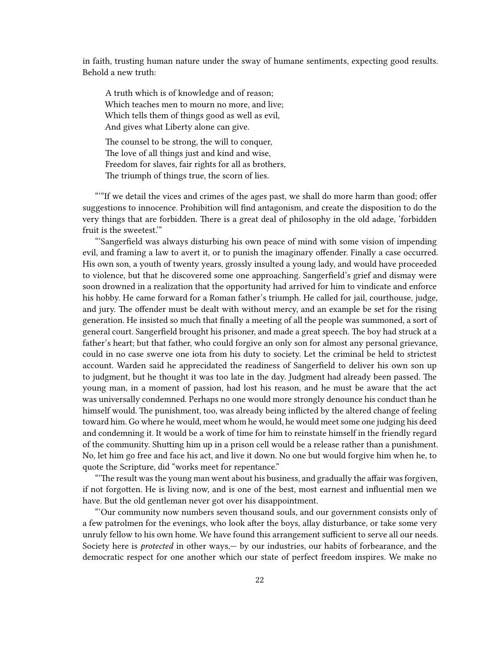in faith, trusting human nature under the sway of humane sentiments, expecting good results. Behold a new truth:

A truth which is of knowledge and of reason; Which teaches men to mourn no more, and live; Which tells them of things good as well as evil, And gives what Liberty alone can give.

The counsel to be strong, the will to conquer, The love of all things just and kind and wise, Freedom for slaves, fair rights for all as brothers, The triumph of things true, the scorn of lies.

"'"If we detail the vices and crimes of the ages past, we shall do more harm than good; offer suggestions to innocence. Prohibition will find antagonism, and create the disposition to do the very things that are forbidden. There is a great deal of philosophy in the old adage, 'forbidden fruit is the sweetest.'"

"'Sangerfield was always disturbing his own peace of mind with some vision of impending evil, and framing a law to avert it, or to punish the imaginary offender. Finally a case occurred. His own son, a youth of twenty years, grossly insulted a young lady, and would have proceeded to violence, but that he discovered some one approaching. Sangerfield's grief and dismay were soon drowned in a realization that the opportunity had arrived for him to vindicate and enforce his hobby. He came forward for a Roman father's triumph. He called for jail, courthouse, judge, and jury. The offender must be dealt with without mercy, and an example be set for the rising generation. He insisted so much that finally a meeting of all the people was summoned, a sort of general court. Sangerfield brought his prisoner, and made a great speech. The boy had struck at a father's heart; but that father, who could forgive an only son for almost any personal grievance, could in no case swerve one iota from his duty to society. Let the criminal be held to strictest account. Warden said he apprecidated the readiness of Sangerfield to deliver his own son up to judgment, but he thought it was too late in the day. Judgment had already been passed. The young man, in a moment of passion, had lost his reason, and he must be aware that the act was universally condemned. Perhaps no one would more strongly denounce his conduct than he himself would. The punishment, too, was already being inflicted by the altered change of feeling toward him. Go where he would, meet whom he would, he would meet some one judging his deed and condemning it. It would be a work of time for him to reinstate himself in the friendly regard of the community. Shutting him up in a prison cell would be a release rather than a punishment. No, let him go free and face his act, and live it down. No one but would forgive him when he, to quote the Scripture, did "works meet for repentance."

"'The result was the young man went about his business, and gradually the affair was forgiven, if not forgotten. He is living now, and is one of the best, most earnest and influential men we have. But the old gentleman never got over his disappointment.

"'Our community now numbers seven thousand souls, and our government consists only of a few patrolmen for the evenings, who look after the boys, allay disturbance, or take some very unruly fellow to his own home. We have found this arrangement sufficient to serve all our needs. Society here is *protected* in other ways,— by our industries, our habits of forbearance, and the democratic respect for one another which our state of perfect freedom inspires. We make no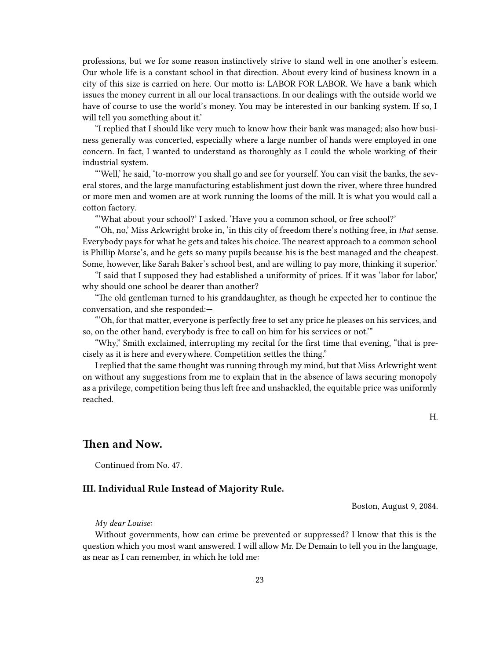professions, but we for some reason instinctively strive to stand well in one another's esteem. Our whole life is a constant school in that direction. About every kind of business known in a city of this size is carried on here. Our motto is: LABOR FOR LABOR. We have a bank which issues the money current in all our local transactions. In our dealings with the outside world we have of course to use the world's money. You may be interested in our banking system. If so, I will tell you something about it.'

"I replied that I should like very much to know how their bank was managed; also how business generally was concerted, especially where a large number of hands were employed in one concern. In fact, I wanted to understand as thoroughly as I could the whole working of their industrial system.

"'Well,' he said, 'to-morrow you shall go and see for yourself. You can visit the banks, the several stores, and the large manufacturing establishment just down the river, where three hundred or more men and women are at work running the looms of the mill. It is what you would call a cotton factory.

"'What about your school?' I asked. 'Have you a common school, or free school?'

"'Oh, no,' Miss Arkwright broke in, 'in this city of freedom there's nothing free, in *that* sense. Everybody pays for what he gets and takes his choice. The nearest approach to a common school is Phillip Morse's, and he gets so many pupils because his is the best managed and the cheapest. Some, however, like Sarah Baker's school best, and are willing to pay more, thinking it superior.'

"I said that I supposed they had established a uniformity of prices. If it was 'labor for labor,' why should one school be dearer than another?

"The old gentleman turned to his granddaughter, as though he expected her to continue the conversation, and she responded:—

"'Oh, for that matter, everyone is perfectly free to set any price he pleases on his services, and so, on the other hand, everybody is free to call on him for his services or not.'"

"Why," Smith exclaimed, interrupting my recital for the first time that evening, "that is precisely as it is here and everywhere. Competition settles the thing."

I replied that the same thought was running through my mind, but that Miss Arkwright went on without any suggestions from me to explain that in the absence of laws securing monopoly as a privilege, competition being thus left free and unshackled, the equitable price was uniformly reached.

# <span id="page-22-0"></span>**Then and Now.**

Continued from No. 47.

#### <span id="page-22-1"></span>**III. Individual Rule Instead of Majority Rule.**

Boston, August 9, 2084.

H.

#### *My dear Louise:*

Without governments, how can crime be prevented or suppressed? I know that this is the question which you most want answered. I will allow Mr. De Demain to tell you in the language, as near as I can remember, in which he told me: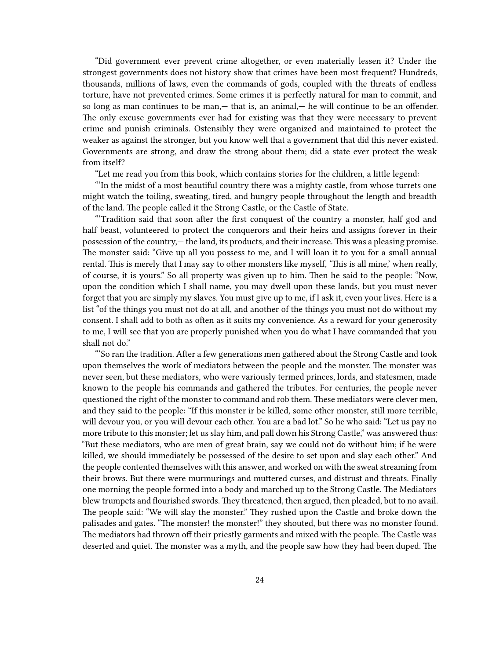"Did government ever prevent crime altogether, or even materially lessen it? Under the strongest governments does not history show that crimes have been most frequent? Hundreds, thousands, millions of laws, even the commands of gods, coupled with the threats of endless torture, have not prevented crimes. Some crimes it is perfectly natural for man to commit, and so long as man continues to be man,— that is, an animal,— he will continue to be an offender. The only excuse governments ever had for existing was that they were necessary to prevent crime and punish criminals. Ostensibly they were organized and maintained to protect the weaker as against the stronger, but you know well that a government that did this never existed. Governments are strong, and draw the strong about them; did a state ever protect the weak from itself?

"Let me read you from this book, which contains stories for the children, a little legend:

"'In the midst of a most beautiful country there was a mighty castle, from whose turrets one might watch the toiling, sweating, tired, and hungry people throughout the length and breadth of the land. The people called it the Strong Castle, or the Castle of State.

"'Tradition said that soon after the first conquest of the country a monster, half god and half beast, volunteered to protect the conquerors and their heirs and assigns forever in their possession of the country,— the land, its products, and their increase. This was a pleasing promise. The monster said: "Give up all you possess to me, and I will loan it to you for a small annual rental. This is merely that I may say to other monsters like myself, 'This is all mine,' when really, of course, it is yours." So all property was given up to him. Then he said to the people: "Now, upon the condition which I shall name, you may dwell upon these lands, but you must never forget that you are simply my slaves. You must give up to me, if I ask it, even your lives. Here is a list "of the things you must not do at all, and another of the things you must not do without my consent. I shall add to both as often as it suits my convenience. As a reward for your generosity to me, I will see that you are properly punished when you do what I have commanded that you shall not do."

"'So ran the tradition. After a few generations men gathered about the Strong Castle and took upon themselves the work of mediators between the people and the monster. The monster was never seen, but these mediators, who were variously termed princes, lords, and statesmen, made known to the people his commands and gathered the tributes. For centuries, the people never questioned the right of the monster to command and rob them. These mediators were clever men, and they said to the people: "If this monster ir be killed, some other monster, still more terrible, will devour you, or you will devour each other. You are a bad lot." So he who said: "Let us pay no more tribute to this monster; let us slay him, and pall down his Strong Castle," was answered thus: "But these mediators, who are men of great brain, say we could not do without him; if he were killed, we should immediately be possessed of the desire to set upon and slay each other." And the people contented themselves with this answer, and worked on with the sweat streaming from their brows. But there were murmurings and muttered curses, and distrust and threats. Finally one morning the people formed into a body and marched up to the Strong Castle. The Mediators blew trumpets and flourished swords. They threatened, then argued, then pleaded, but to no avail. The people said: "We will slay the monster." They rushed upon the Castle and broke down the palisades and gates. "The monster! the monster!" they shouted, but there was no monster found. The mediators had thrown off their priestly garments and mixed with the people. The Castle was deserted and quiet. The monster was a myth, and the people saw how they had been duped. The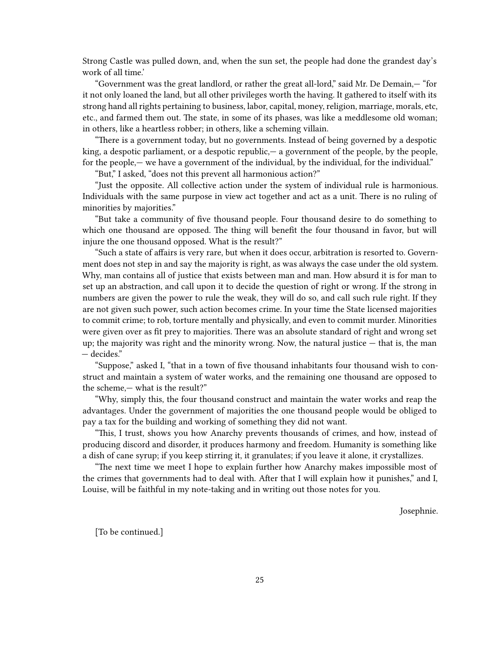Strong Castle was pulled down, and, when the sun set, the people had done the grandest day's work of all time.'

"Government was the great landlord, or rather the great all-lord," said Mr. De Demain,— "for it not only loaned the land, but all other privileges worth the having. It gathered to itself with its strong hand all rights pertaining to business, labor, capital, money, religion, marriage, morals, etc, etc., and farmed them out. The state, in some of its phases, was like a meddlesome old woman; in others, like a heartless robber; in others, like a scheming villain.

"There is a government today, but no governments. Instead of being governed by a despotic  $king$ , a despotic parliament, or a despotic republic,  $-$  a government of the people, by the people, for the people,— we have a government of the individual, by the individual, for the individual."

"But," I asked, "does not this prevent all harmonious action?"

"Just the opposite. All collective action under the system of individual rule is harmonious. Individuals with the same purpose in view act together and act as a unit. There is no ruling of minorities by majorities."

"But take a community of five thousand people. Four thousand desire to do something to which one thousand are opposed. The thing will benefit the four thousand in favor, but will injure the one thousand opposed. What is the result?"

"Such a state of affairs is very rare, but when it does occur, arbitration is resorted to. Government does not step in and say the majority is right, as was always the case under the old system. Why, man contains all of justice that exists between man and man. How absurd it is for man to set up an abstraction, and call upon it to decide the question of right or wrong. If the strong in numbers are given the power to rule the weak, they will do so, and call such rule right. If they are not given such power, such action becomes crime. In your time the State licensed majorities to commit crime; to rob, torture mentally and physically, and even to commit murder. Minorities were given over as fit prey to majorities. There was an absolute standard of right and wrong set up; the majority was right and the minority wrong. Now, the natural justice  $-$  that is, the man — decides."

"Suppose," asked I, "that in a town of five thousand inhabitants four thousand wish to construct and maintain a system of water works, and the remaining one thousand are opposed to the scheme,— what is the result?"

"Why, simply this, the four thousand construct and maintain the water works and reap the advantages. Under the government of majorities the one thousand people would be obliged to pay a tax for the building and working of something they did not want.

"This, I trust, shows you how Anarchy prevents thousands of crimes, and how, instead of producing discord and disorder, it produces harmony and freedom. Humanity is something like a dish of cane syrup; if you keep stirring it, it granulates; if you leave it alone, it crystallizes.

"The next time we meet I hope to explain further how Anarchy makes impossible most of the crimes that governments had to deal with. After that I will explain how it punishes," and I, Louise, will be faithful in my note-taking and in writing out those notes for you.

Josephnie.

[To be continued.]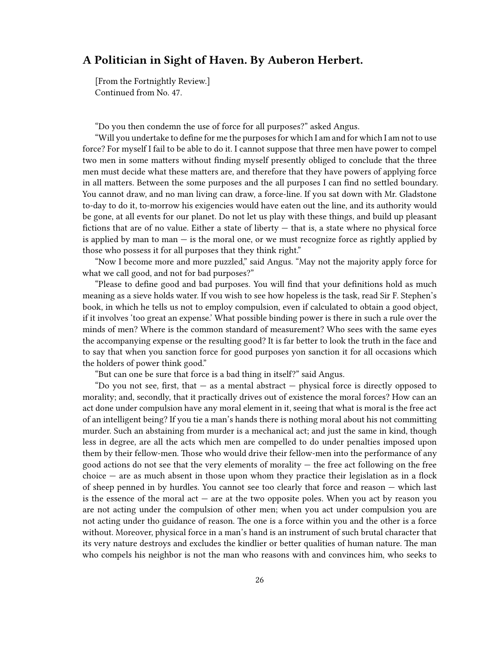## <span id="page-25-0"></span>**A Politician in Sight of Haven. By Auberon Herbert.**

[From the Fortnightly Review.] Continued from No. 47.

"Do you then condemn the use of force for all purposes?" asked Angus.

"Will you undertake to define for me the purposes for which I am and for which I am not to use force? For myself I fail to be able to do it. I cannot suppose that three men have power to compel two men in some matters without finding myself presently obliged to conclude that the three men must decide what these matters are, and therefore that they have powers of applying force in all matters. Between the some purposes and the all purposes I can find no settled boundary. You cannot draw, and no man living can draw, a force-line. If you sat down with Mr. Gladstone to-day to do it, to-morrow his exigencies would have eaten out the line, and its authority would be gone, at all events for our planet. Do not let us play with these things, and build up pleasant fictions that are of no value. Either a state of liberty — that is, a state where no physical force is applied by man to man  $-$  is the moral one, or we must recognize force as rightly applied by those who possess it for all purposes that they think right."

"Now I become more and more puzzled," said Angus. "May not the majority apply force for what we call good, and not for bad purposes?"

"Please to define good and bad purposes. You will find that your definitions hold as much meaning as a sieve holds water. If vou wish to see how hopeless is the task, read Sir F. Stephen's book, in which he tells us not to employ compulsion, even if calculated to obtain a good object, if it involves 'too great an expense.' What possible binding power is there in such a rule over the minds of men? Where is the common standard of measurement? Who sees with the same eyes the accompanying expense or the resulting good? It is far better to look the truth in the face and to say that when you sanction force for good purposes yon sanction it for all occasions which the holders of power think good."

"But can one be sure that force is a bad thing in itself?" said Angus.

"Do you not see, first, that  $-$  as a mental abstract  $-$  physical force is directly opposed to morality; and, secondly, that it practically drives out of existence the moral forces? How can an act done under compulsion have any moral element in it, seeing that what is moral is the free act of an intelligent being? If you tie a man's hands there is nothing moral about his not committing murder. Such an abstaining from murder is a mechanical act; and just the same in kind, though less in degree, are all the acts which men are compelled to do under penalties imposed upon them by their fellow-men. Those who would drive their fellow-men into the performance of any good actions do not see that the very elements of morality — the free act following on the free choice  $-$  are as much absent in those upon whom they practice their legislation as in a flock of sheep penned in by hurdles. You cannot see too clearly that force and reason — which last is the essence of the moral  $act - are$  at the two opposite poles. When you act by reason you are not acting under the compulsion of other men; when you act under compulsion you are not acting under tho guidance of reason. The one is a force within you and the other is a force without. Moreover, physical force in a man's hand is an instrument of such brutal character that its very nature destroys and excludes the kindlier or better qualities of human nature. The man who compels his neighbor is not the man who reasons with and convinces him, who seeks to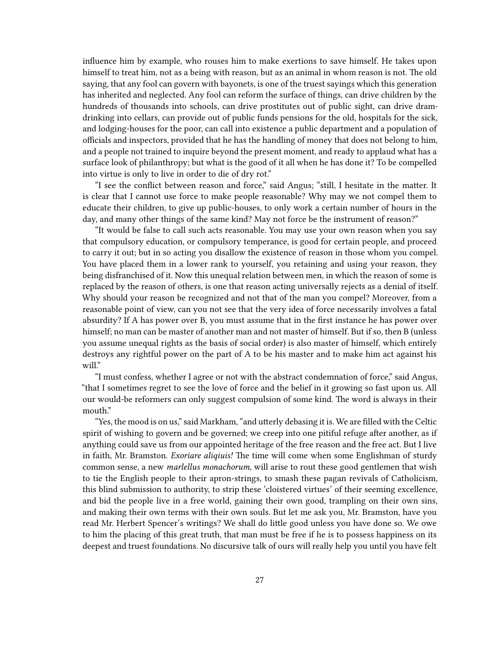influence him by example, who rouses him to make exertions to save himself. He takes upon himself to treat him, not as a being with reason, but as an animal in whom reason is not. The old saying, that any fool can govern with bayonets, is one of the truest sayings which this generation has inherited and neglected. Any fool can reform the surface of things, can drive children by the hundreds of thousands into schools, can drive prostitutes out of public sight, can drive dramdrinking into cellars, can provide out of public funds pensions for the old, hospitals for the sick, and lodging-houses for the poor, can call into existence a public department and a population of officials and inspectors, provided that he has the handling of money that does not belong to him, and a people not trained to inquire beyond the present moment, and ready to applaud what has a surface look of philanthropy; but what is the good of it all when he has done it? To be compelled into virtue is only to live in order to die of dry rot."

"I see the conflict between reason and force," said Angus; "still, I hesitate in the matter. It is clear that I cannot use force to make people reasonable? Why may we not compel them to educate their children, to give up public-houses, to only work a certain number of hours in the day, and many other things of the same kind? May not force be the instrument of reason?"

"It would be false to call such acts reasonable. You may use your own reason when you say that compulsory education, or compulsory temperance, is good for certain people, and proceed to carry it out; but in so acting you disallow the existence of reason in those whom you compel. You have placed them in a lower rank to yourself, you retaining and using your reason, they being disfranchised of it. Now this unequal relation between men, in which the reason of some is replaced by the reason of others, is one that reason acting universally rejects as a denial of itself. Why should your reason be recognized and not that of the man you compel? Moreover, from a reasonable point of view, can you not see that the very idea of force necessarily involves a fatal absurdity? If A has power over B, you must assume that in the first instance he has power over himself; no man can be master of another man and not master of himself. But if so, then B (unless you assume unequal rights as the basis of social order) is also master of himself, which entirely destroys any rightful power on the part of A to be his master and to make him act against his will."

"I must confess, whether I agree or not with the abstract condemnation of force," said Angus, "that I sometimes regret to see the love of force and the belief in it growing so fast upon us. All our would-be reformers can only suggest compulsion of some kind. The word is always in their mouth."

"Yes, the mood is on us," said Markham, "and utterly debasing it is. We are filled with the Celtic spirit of wishing to govern and be governed; we creep into one pitiful refuge after another, as if anything could save us from our appointed heritage of the free reason and the free act. But I live in faith, Mr. Bramston. *Exoriare aliqiuis!* The time will come when some Englishman of sturdy common sense, a new *marlellus monachorum*, will arise to rout these good gentlemen that wish to tie the English people to their apron-strings, to smash these pagan revivals of Catholicism, this blind submission to authority, to strip these 'cloistered virtues' of their seeming excellence, and bid the people live in a free world, gaining their own good, trampling on their own sins, and making their own terms with their own souls. But let me ask you, Mr. Bramston, have you read Mr. Herbert Spencer's writings? We shall do little good unless you have done so. We owe to him the placing of this great truth, that man must be free if he is to possess happiness on its deepest and truest foundations. No discursive talk of ours will really help you until you have felt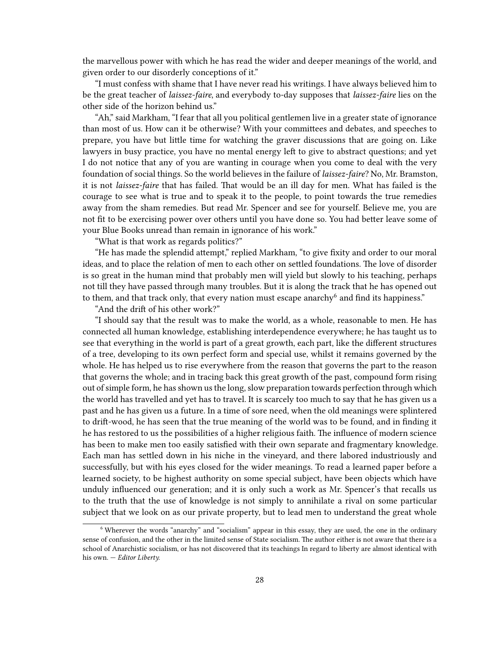the marvellous power with which he has read the wider and deeper meanings of the world, and given order to our disorderly conceptions of it."

"I must confess with shame that I have never read his writings. I have always believed him to be the great teacher of *laissez-faire*, and everybody to-day supposes that *laissez-faire* lies on the other side of the horizon behind us."

"Ah," said Markham, "I fear that all you political gentlemen live in a greater state of ignorance than most of us. How can it be otherwise? With your committees and debates, and speeches to prepare, you have but little time for watching the graver discussions that are going on. Like lawyers in busy practice, you have no mental energy left to give to abstract questions; and yet I do not notice that any of you are wanting in courage when you come to deal with the very foundation of social things. So the world believes in the failure of *laissez-faire*? No, Mr. Bramston, it is not *laissez-faire* that has failed. That would be an ill day for men. What has failed is the courage to see what is true and to speak it to the people, to point towards the true remedies away from the sham remedies. But read Mr. Spencer and see for yourself. Believe me, you are not fit to be exercising power over others until you have done so. You had better leave some of your Blue Books unread than remain in ignorance of his work."

"What is that work as regards politics?"

"He has made the splendid attempt," replied Markham, "to give fixity and order to our moral ideas, and to place the relation of men to each other on settled foundations. The love of disorder is so great in the human mind that probably men will yield but slowly to his teaching, perhaps not till they have passed through many troubles. But it is along the track that he has opened out to them, and that track only, that every nation must escape anarchy $^6$  and find its happiness."

"And the drift of his other work?"

"I should say that the result was to make the world, as a whole, reasonable to men. He has connected all human knowledge, establishing interdependence everywhere; he has taught us to see that everything in the world is part of a great growth, each part, like the different structures of a tree, developing to its own perfect form and special use, whilst it remains governed by the whole. He has helped us to rise everywhere from the reason that governs the part to the reason that governs the whole; and in tracing back this great growth of the past, compound form rising out of simple form, he has shown us the long, slow preparation towards perfection through which the world has travelled and yet has to travel. It is scarcely too much to say that he has given us a past and he has given us a future. In a time of sore need, when the old meanings were splintered to drift-wood, he has seen that the true meaning of the world was to be found, and in finding it he has restored to us the possibilities of a higher religious faith. The influence of modern science has been to make men too easily satisfied with their own separate and fragmentary knowledge. Each man has settled down in his niche in the vineyard, and there labored industriously and successfully, but with his eyes closed for the wider meanings. To read a learned paper before a learned society, to be highest authority on some special subject, have been objects which have unduly influenced our generation; and it is only such a work as Mr. Spencer's that recalls us to the truth that the use of knowledge is not simply to annihilate a rival on some particular subject that we look on as our private property, but to lead men to understand the great whole

<sup>6</sup> Wherever the words "anarchy" and "socialism" appear in this essay, they are used, the one in the ordinary sense of confusion, and the other in the limited sense of State socialism. The author either is not aware that there is a school of Anarchistic socialism, or has not discovered that its teachings In regard to liberty are almost identical with his own. — *Editor Liberty.*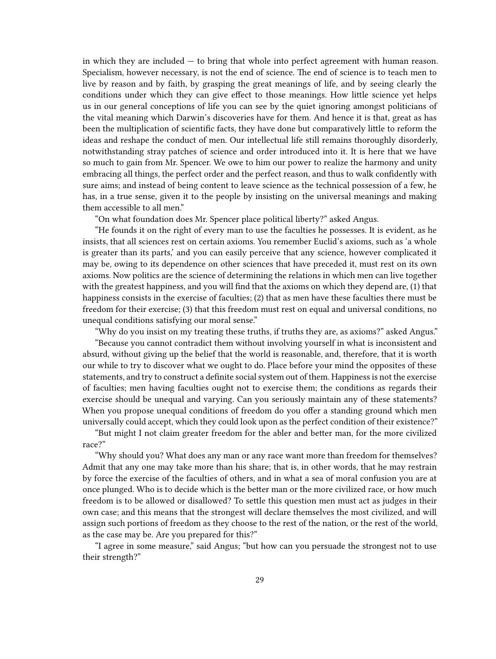in which they are included — to bring that whole into perfect agreement with human reason. Specialism, however necessary, is not the end of science. The end of science is to teach men to live by reason and by faith, by grasping the great meanings of life, and by seeing clearly the conditions under which they can give effect to those meanings. How little science yet helps us in our general conceptions of life you can see by the quiet ignoring amongst politicians of the vital meaning which Darwin's discoveries have for them. And hence it is that, great as has been the multiplication of scientific facts, they have done but comparatively little to reform the ideas and reshape the conduct of men. Our intellectual life still remains thoroughly disorderly, notwithstanding stray patches of science and order introduced into it. It is here that we have so much to gain from Mr. Spencer. We owe to him our power to realize the harmony and unity embracing all things, the perfect order and the perfect reason, and thus to walk confidently with sure aims; and instead of being content to leave science as the technical possession of a few, he has, in a true sense, given it to the people by insisting on the universal meanings and making them accessible to all men."

"On what foundation does Mr. Spencer place political liberty?" asked Angus.

"He founds it on the right of every man to use the faculties he possesses. It is evident, as he insists, that all sciences rest on certain axioms. You remember Euclid's axioms, such as 'a whole is greater than its parts,' and you can easily perceive that any science, however complicated it may be, owing to its dependence on other sciences that have preceded it, must rest on its own axioms. Now politics are the science of determining the relations in which men can live together with the greatest happiness, and you will find that the axioms on which they depend are, (1) that happiness consists in the exercise of faculties; (2) that as men have these faculties there must be freedom for their exercise; (3) that this freedom must rest on equal and universal conditions, no unequal conditions satisfying our moral sense."

"Why do you insist on my treating these truths, if truths they are, as axioms?" asked Angus." "Because you cannot contradict them without involving yourself in what is inconsistent and absurd, without giving up the belief that the world is reasonable, and, therefore, that it is worth our while to try to discover what we ought to do. Place before your mind the opposites of these statements, and try to construct a definite social system out of them. Happiness is not the exercise of faculties; men having faculties ought not to exercise them; the conditions as regards their exercise should be unequal and varying. Can you seriously maintain any of these statements? When you propose unequal conditions of freedom do you offer a standing ground which men universally could accept, which they could look upon as the perfect condition of their existence?"

"But might I not claim greater freedom for the abler and better man, for the more civilized race?"

"Why should you? What does any man or any race want more than freedom for themselves? Admit that any one may take more than his share; that is, in other words, that he may restrain by force the exercise of the faculties of others, and in what a sea of moral confusion you are at once plunged. Who is to decide which is the better man or the more civilized race, or how much freedom is to be allowed or disallowed? To settle this question men must act as judges in their own case; and this means that the strongest will declare themselves the most civilized, and will assign such portions of freedom as they choose to the rest of the nation, or the rest of the world, as the case may be. Are you prepared for this?"

"I agree in some measure," said Angus; "but how can you persuade the strongest not to use their strength?"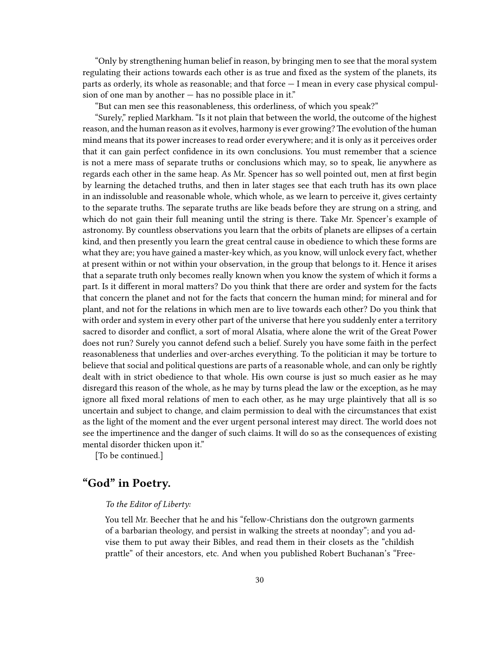"Only by strengthening human belief in reason, by bringing men to see that the moral system regulating their actions towards each other is as true and fixed as the system of the planets, its parts as orderly, its whole as reasonable; and that force — I mean in every case physical compulsion of one man by another  $-$  has no possible place in it."

"But can men see this reasonableness, this orderliness, of which you speak?"

"Surely," replied Markham. "Is it not plain that between the world, the outcome of the highest reason, and the human reason as it evolves, harmony is ever growing?The evolution of the human mind means that its power increases to read order everywhere; and it is only as it perceives order that it can gain perfect confidence in its own conclusions. You must remember that a science is not a mere mass of separate truths or conclusions which may, so to speak, lie anywhere as regards each other in the same heap. As Mr. Spencer has so well pointed out, men at first begin by learning the detached truths, and then in later stages see that each truth has its own place in an indissoluble and reasonable whole, which whole, as we learn to perceive it, gives certainty to the separate truths. The separate truths are like beads before they are strung on a string, and which do not gain their full meaning until the string is there. Take Mr. Spencer's example of astronomy. By countless observations you learn that the orbits of planets are ellipses of a certain kind, and then presently you learn the great central cause in obedience to which these forms are what they are; you have gained a master-key which, as you know, will unlock every fact, whether at present within or not within your observation, in the group that belongs to it. Hence it arises that a separate truth only becomes really known when you know the system of which it forms a part. Is it different in moral matters? Do you think that there are order and system for the facts that concern the planet and not for the facts that concern the human mind; for mineral and for plant, and not for the relations in which men are to live towards each other? Do you think that with order and system in every other part of the universe that here you suddenly enter a territory sacred to disorder and conflict, a sort of moral Alsatia, where alone the writ of the Great Power does not run? Surely you cannot defend such a belief. Surely you have some faith in the perfect reasonableness that underlies and over-arches everything. To the politician it may be torture to believe that social and political questions are parts of a reasonable whole, and can only be rightly dealt with in strict obedience to that whole. His own course is just so much easier as he may disregard this reason of the whole, as he may by turns plead the law or the exception, as he may ignore all fixed moral relations of men to each other, as he may urge plaintively that all is so uncertain and subject to change, and claim permission to deal with the circumstances that exist as the light of the moment and the ever urgent personal interest may direct. The world does not see the impertinence and the danger of such claims. It will do so as the consequences of existing mental disorder thicken upon it."

[To be continued.]

# <span id="page-29-0"></span>**"God" in Poetry.**

#### *To the Editor of Liberty:*

You tell Mr. Beecher that he and his "fellow-Christians don the outgrown garments of a barbarian theology, and persist in walking the streets at noonday"; and you advise them to put away their Bibles, and read them in their closets as the "childish prattle" of their ancestors, etc. And when you published Robert Buchanan's "Free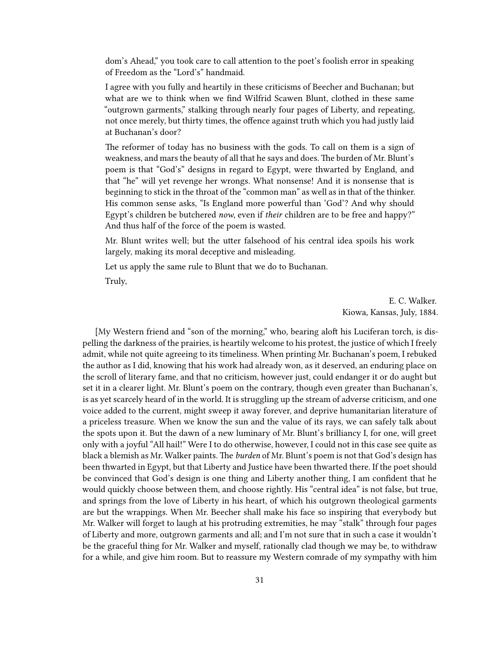dom's Ahead," you took care to call attention to the poet's foolish error in speaking of Freedom as the "Lord's" handmaid.

I agree with you fully and heartily in these criticisms of Beecher and Buchanan; but what are we to think when we find Wilfrid Scawen Blunt, clothed in these same "outgrown garments," stalking through nearly four pages of Liberty, and repeating, not once merely, but thirty times, the offence against truth which you had justly laid at Buchanan's door?

The reformer of today has no business with the gods. To call on them is a sign of weakness, and mars the beauty of all that he says and does. The burden of Mr. Blunt's poem is that "God's" designs in regard to Egypt, were thwarted by England, and that "he" will yet revenge her wrongs. What nonsense! And it is nonsense that is beginning to stick in the throat of the "common man" as well as in that of the thinker. His common sense asks, "Is England more powerful than 'God'? And why should Egypt's children be butchered *now*, even if *their* children are to be free and happy?" And thus half of the force of the poem is wasted.

Mr. Blunt writes well; but the utter falsehood of his central idea spoils his work largely, making its moral deceptive and misleading.

Let us apply the same rule to Blunt that we do to Buchanan.

Truly,

E. C. Walker. Kiowa, Kansas, July, 1884.

[My Western friend and "son of the morning," who, bearing aloft his Luciferan torch, is dispelling the darkness of the prairies, is heartily welcome to his protest, the justice of which I freely admit, while not quite agreeing to its timeliness. When printing Mr. Buchanan's poem, I rebuked the author as I did, knowing that his work had already won, as it deserved, an enduring place on the scroll of literary fame, and that no criticism, however just, could endanger it or do aught but set it in a clearer light. Mr. Blunt's poem on the contrary, though even greater than Buchanan's, is as yet scarcely heard of in the world. It is struggling up the stream of adverse criticism, and one voice added to the current, might sweep it away forever, and deprive humanitarian literature of a priceless treasure. When we know the sun and the value of its rays, we can safely talk about the spots upon it. But the dawn of a new luminary of Mr. Blunt's brilliancy I, for one, will greet only with a joyful "All hail!" Were I to do otherwise, however, I could not in this case see quite as black a blemish as Mr. Walker paints. The *burden* of Mr. Blunt's poem is not that God's design has been thwarted in Egypt, but that Liberty and Justice have been thwarted there. If the poet should be convinced that God's design is one thing and Liberty another thing, I am confident that he would quickly choose between them, and choose rightly. His "central idea" is not false, but true, and springs from the love of Liberty in his heart, of which his outgrown theological garments are but the wrappings. When Mr. Beecher shall make his face so inspiring that everybody but Mr. Walker will forget to laugh at his protruding extremities, he may "stalk" through four pages of Liberty and more, outgrown garments and all; and I'm not sure that in such a case it wouldn't be the graceful thing for Mr. Walker and myself, rationally clad though we may be, to withdraw for a while, and give him room. But to reassure my Western comrade of my sympathy with him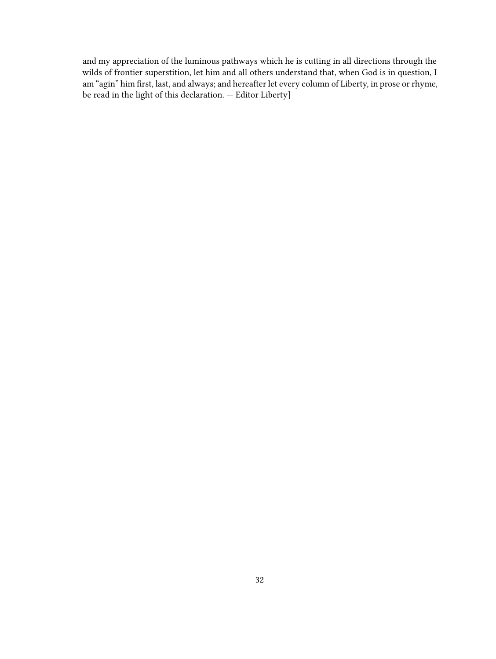and my appreciation of the luminous pathways which he is cutting in all directions through the wilds of frontier superstition, let him and all others understand that, when God is in question, I am "agin" him first, last, and always; and hereafter let every column of Liberty, in prose or rhyme, be read in the light of this declaration. — Editor Liberty]